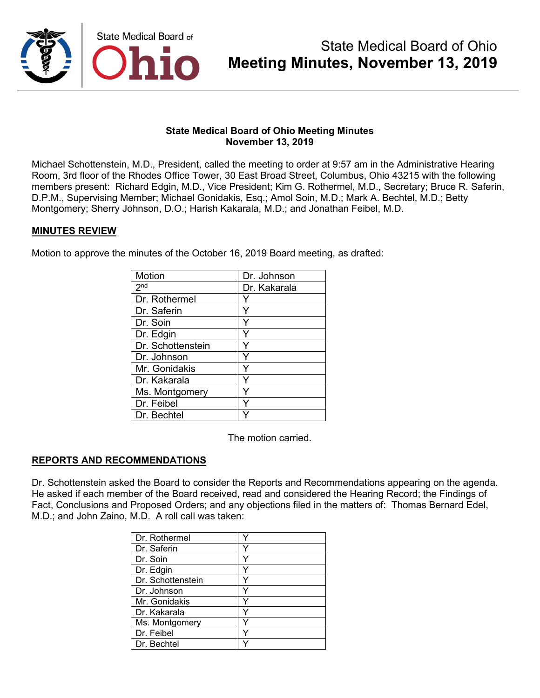

Michael Schottenstein, M.D., President, called the meeting to order at 9:57 am in the Administrative Hearing Room, 3rd floor of the Rhodes Office Tower, 30 East Broad Street, Columbus, Ohio 43215 with the following members present: Richard Edgin, M.D., Vice President; Kim G. Rothermel, M.D., Secretary; Bruce R. Saferin, D.P.M., Supervising Member; Michael Gonidakis, Esq.; Amol Soin, M.D.; Mark A. Bechtel, M.D.; Betty Montgomery; Sherry Johnson, D.O.; Harish Kakarala, M.D.; and Jonathan Feibel, M.D.

### **MINUTES REVIEW**

Motion to approve the minutes of the October 16, 2019 Board meeting, as drafted:

| <b>Motion</b>     | Dr. Johnson  |
|-------------------|--------------|
| 2 <sup>nd</sup>   | Dr. Kakarala |
| Dr. Rothermel     |              |
| Dr. Saferin       | Υ            |
| Dr. Soin          |              |
| Dr. Edgin         |              |
| Dr. Schottenstein | Y            |
| Dr. Johnson       | Y            |
| Mr. Gonidakis     |              |
| Dr. Kakarala      | ٧            |
| Ms. Montgomery    |              |
| Dr. Feibel        |              |
| Dr. Bechtel       |              |

The motion carried.

## **REPORTS AND RECOMMENDATIONS**

Dr. Schottenstein asked the Board to consider the Reports and Recommendations appearing on the agenda. He asked if each member of the Board received, read and considered the Hearing Record; the Findings of Fact, Conclusions and Proposed Orders; and any objections filed in the matters of: Thomas Bernard Edel, M.D.; and John Zaino, M.D. A roll call was taken:

| Dr. Rothermel     |  |
|-------------------|--|
| Dr. Saferin       |  |
| Dr. Soin          |  |
| Dr. Edgin         |  |
| Dr. Schottenstein |  |
| Dr. Johnson       |  |
| Mr. Gonidakis     |  |
| l Dr. Kakarala    |  |
| Ms. Montgomery    |  |
| Dr. Feibel        |  |
| Dr. Bechtel       |  |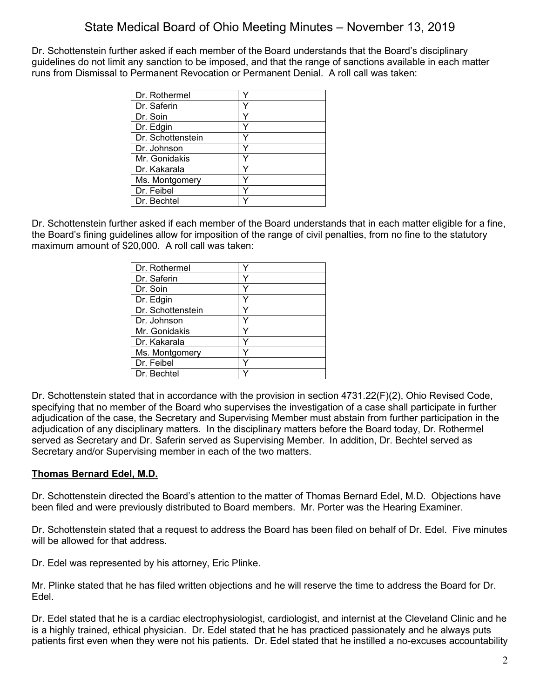Dr. Schottenstein further asked if each member of the Board understands that the Board's disciplinary guidelines do not limit any sanction to be imposed, and that the range of sanctions available in each matter runs from Dismissal to Permanent Revocation or Permanent Denial. A roll call was taken:

| Dr. Rothermel     |  |
|-------------------|--|
| Dr. Saferin       |  |
| Dr. Soin          |  |
| Dr. Edgin         |  |
| Dr. Schottenstein |  |
| Dr. Johnson       |  |
| Mr. Gonidakis     |  |
| Dr. Kakarala      |  |
| Ms. Montgomery    |  |
| Dr. Feibel        |  |
| Dr. Bechtel       |  |

Dr. Schottenstein further asked if each member of the Board understands that in each matter eligible for a fine, the Board's fining guidelines allow for imposition of the range of civil penalties, from no fine to the statutory maximum amount of \$20,000. A roll call was taken:

| Dr. Rothermel     |  |
|-------------------|--|
| Dr. Saferin       |  |
| Dr. Soin          |  |
| Dr. Edgin         |  |
| Dr. Schottenstein |  |
| Dr. Johnson       |  |
| Mr. Gonidakis     |  |
| Dr. Kakarala      |  |
| Ms. Montgomery    |  |
| Dr. Feibel        |  |
| Dr. Bechtel       |  |

Dr. Schottenstein stated that in accordance with the provision in section 4731.22(F)(2), Ohio Revised Code, specifying that no member of the Board who supervises the investigation of a case shall participate in further adjudication of the case, the Secretary and Supervising Member must abstain from further participation in the adjudication of any disciplinary matters. In the disciplinary matters before the Board today, Dr. Rothermel served as Secretary and Dr. Saferin served as Supervising Member. In addition, Dr. Bechtel served as Secretary and/or Supervising member in each of the two matters.

## **Thomas Bernard Edel, M.D.**

Dr. Schottenstein directed the Board's attention to the matter of Thomas Bernard Edel, M.D. Objections have been filed and were previously distributed to Board members. Mr. Porter was the Hearing Examiner.

Dr. Schottenstein stated that a request to address the Board has been filed on behalf of Dr. Edel. Five minutes will be allowed for that address.

Dr. Edel was represented by his attorney, Eric Plinke.

Mr. Plinke stated that he has filed written objections and he will reserve the time to address the Board for Dr. Edel.

Dr. Edel stated that he is a cardiac electrophysiologist, cardiologist, and internist at the Cleveland Clinic and he is a highly trained, ethical physician. Dr. Edel stated that he has practiced passionately and he always puts patients first even when they were not his patients. Dr. Edel stated that he instilled a no-excuses accountability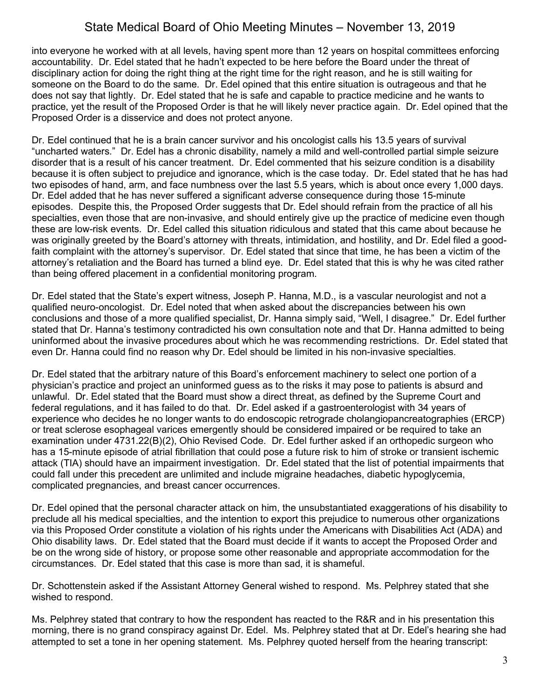into everyone he worked with at all levels, having spent more than 12 years on hospital committees enforcing accountability. Dr. Edel stated that he hadn't expected to be here before the Board under the threat of disciplinary action for doing the right thing at the right time for the right reason, and he is still waiting for someone on the Board to do the same. Dr. Edel opined that this entire situation is outrageous and that he does not say that lightly. Dr. Edel stated that he is safe and capable to practice medicine and he wants to practice, yet the result of the Proposed Order is that he will likely never practice again. Dr. Edel opined that the Proposed Order is a disservice and does not protect anyone.

Dr. Edel continued that he is a brain cancer survivor and his oncologist calls his 13.5 years of survival "uncharted waters." Dr. Edel has a chronic disability, namely a mild and well-controlled partial simple seizure disorder that is a result of his cancer treatment. Dr. Edel commented that his seizure condition is a disability because it is often subject to prejudice and ignorance, which is the case today. Dr. Edel stated that he has had two episodes of hand, arm, and face numbness over the last 5.5 years, which is about once every 1,000 days. Dr. Edel added that he has never suffered a significant adverse consequence during those 15-minute episodes. Despite this, the Proposed Order suggests that Dr. Edel should refrain from the practice of all his specialties, even those that are non-invasive, and should entirely give up the practice of medicine even though these are low-risk events. Dr. Edel called this situation ridiculous and stated that this came about because he was originally greeted by the Board's attorney with threats, intimidation, and hostility, and Dr. Edel filed a goodfaith complaint with the attorney's supervisor. Dr. Edel stated that since that time, he has been a victim of the attorney's retaliation and the Board has turned a blind eye. Dr. Edel stated that this is why he was cited rather than being offered placement in a confidential monitoring program.

Dr. Edel stated that the State's expert witness, Joseph P. Hanna, M.D., is a vascular neurologist and not a qualified neuro-oncologist. Dr. Edel noted that when asked about the discrepancies between his own conclusions and those of a more qualified specialist, Dr. Hanna simply said, "Well, I disagree." Dr. Edel further stated that Dr. Hanna's testimony contradicted his own consultation note and that Dr. Hanna admitted to being uninformed about the invasive procedures about which he was recommending restrictions. Dr. Edel stated that even Dr. Hanna could find no reason why Dr. Edel should be limited in his non-invasive specialties.

Dr. Edel stated that the arbitrary nature of this Board's enforcement machinery to select one portion of a physician's practice and project an uninformed guess as to the risks it may pose to patients is absurd and unlawful. Dr. Edel stated that the Board must show a direct threat, as defined by the Supreme Court and federal regulations, and it has failed to do that. Dr. Edel asked if a gastroenterologist with 34 years of experience who decides he no longer wants to do endoscopic retrograde cholangiopancreatographies (ERCP) or treat sclerose esophageal varices emergently should be considered impaired or be required to take an examination under 4731.22(B)(2), Ohio Revised Code. Dr. Edel further asked if an orthopedic surgeon who has a 15-minute episode of atrial fibrillation that could pose a future risk to him of stroke or transient ischemic attack (TIA) should have an impairment investigation. Dr. Edel stated that the list of potential impairments that could fall under this precedent are unlimited and include migraine headaches, diabetic hypoglycemia, complicated pregnancies, and breast cancer occurrences.

Dr. Edel opined that the personal character attack on him, the unsubstantiated exaggerations of his disability to preclude all his medical specialties, and the intention to export this prejudice to numerous other organizations via this Proposed Order constitute a violation of his rights under the Americans with Disabilities Act (ADA) and Ohio disability laws. Dr. Edel stated that the Board must decide if it wants to accept the Proposed Order and be on the wrong side of history, or propose some other reasonable and appropriate accommodation for the circumstances. Dr. Edel stated that this case is more than sad, it is shameful.

Dr. Schottenstein asked if the Assistant Attorney General wished to respond. Ms. Pelphrey stated that she wished to respond.

Ms. Pelphrey stated that contrary to how the respondent has reacted to the R&R and in his presentation this morning, there is no grand conspiracy against Dr. Edel. Ms. Pelphrey stated that at Dr. Edel's hearing she had attempted to set a tone in her opening statement. Ms. Pelphrey quoted herself from the hearing transcript: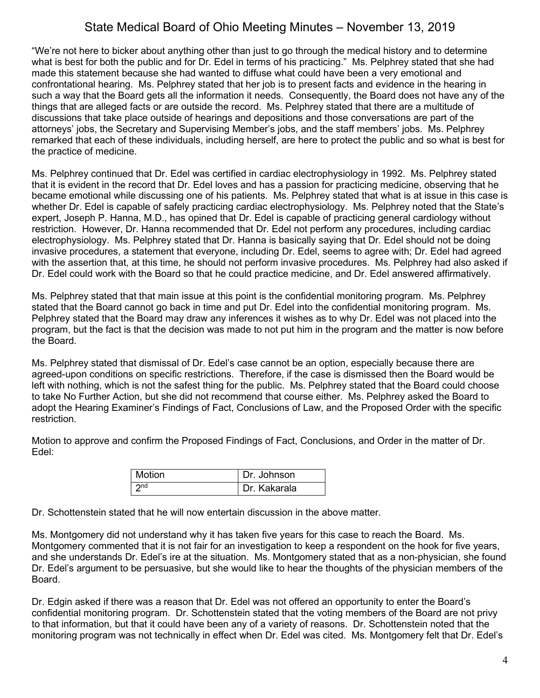"We're not here to bicker about anything other than just to go through the medical history and to determine what is best for both the public and for Dr. Edel in terms of his practicing." Ms. Pelphrey stated that she had made this statement because she had wanted to diffuse what could have been a very emotional and confrontational hearing. Ms. Pelphrey stated that her job is to present facts and evidence in the hearing in such a way that the Board gets all the information it needs. Consequently, the Board does not have any of the things that are alleged facts or are outside the record. Ms. Pelphrey stated that there are a multitude of discussions that take place outside of hearings and depositions and those conversations are part of the attorneys' jobs, the Secretary and Supervising Member's jobs, and the staff members' jobs. Ms. Pelphrey remarked that each of these individuals, including herself, are here to protect the public and so what is best for the practice of medicine.

Ms. Pelphrey continued that Dr. Edel was certified in cardiac electrophysiology in 1992. Ms. Pelphrey stated that it is evident in the record that Dr. Edel loves and has a passion for practicing medicine, observing that he became emotional while discussing one of his patients. Ms. Pelphrey stated that what is at issue in this case is whether Dr. Edel is capable of safely practicing cardiac electrophysiology. Ms. Pelphrey noted that the State's expert, Joseph P. Hanna, M.D., has opined that Dr. Edel is capable of practicing general cardiology without restriction. However, Dr. Hanna recommended that Dr. Edel not perform any procedures, including cardiac electrophysiology. Ms. Pelphrey stated that Dr. Hanna is basically saying that Dr. Edel should not be doing invasive procedures, a statement that everyone, including Dr. Edel, seems to agree with; Dr. Edel had agreed with the assertion that, at this time, he should not perform invasive procedures. Ms. Pelphrey had also asked if Dr. Edel could work with the Board so that he could practice medicine, and Dr. Edel answered affirmatively.

Ms. Pelphrey stated that that main issue at this point is the confidential monitoring program. Ms. Pelphrey stated that the Board cannot go back in time and put Dr. Edel into the confidential monitoring program. Ms. Pelphrey stated that the Board may draw any inferences it wishes as to why Dr. Edel was not placed into the program, but the fact is that the decision was made to not put him in the program and the matter is now before the Board.

Ms. Pelphrey stated that dismissal of Dr. Edel's case cannot be an option, especially because there are agreed-upon conditions on specific restrictions. Therefore, if the case is dismissed then the Board would be left with nothing, which is not the safest thing for the public. Ms. Pelphrey stated that the Board could choose to take No Further Action, but she did not recommend that course either. Ms. Pelphrey asked the Board to adopt the Hearing Examiner's Findings of Fact, Conclusions of Law, and the Proposed Order with the specific restriction.

Motion to approve and confirm the Proposed Findings of Fact, Conclusions, and Order in the matter of Dr. Edel:

| Motion          | Dr. Johnson  |
|-----------------|--------------|
| 2 <sub>nd</sub> | Dr. Kakarala |

Dr. Schottenstein stated that he will now entertain discussion in the above matter.

Ms. Montgomery did not understand why it has taken five years for this case to reach the Board. Ms. Montgomery commented that it is not fair for an investigation to keep a respondent on the hook for five years, and she understands Dr. Edel's ire at the situation. Ms. Montgomery stated that as a non-physician, she found Dr. Edel's argument to be persuasive, but she would like to hear the thoughts of the physician members of the Board.

Dr. Edgin asked if there was a reason that Dr. Edel was not offered an opportunity to enter the Board's confidential monitoring program. Dr. Schottenstein stated that the voting members of the Board are not privy to that information, but that it could have been any of a variety of reasons. Dr. Schottenstein noted that the monitoring program was not technically in effect when Dr. Edel was cited. Ms. Montgomery felt that Dr. Edel's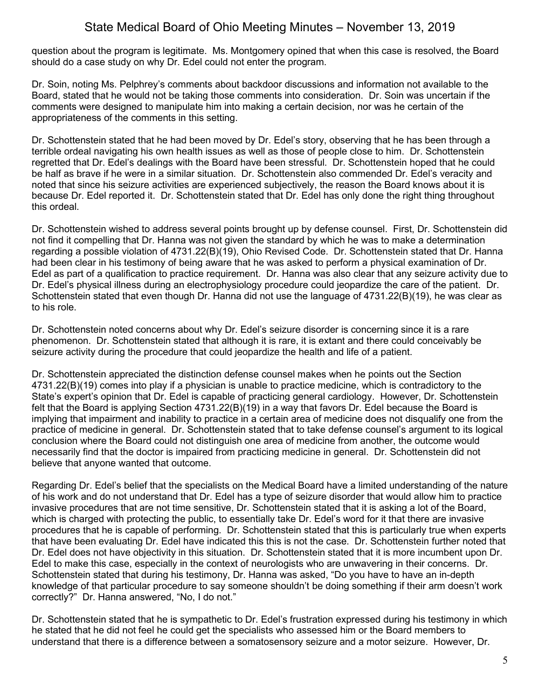question about the program is legitimate. Ms. Montgomery opined that when this case is resolved, the Board should do a case study on why Dr. Edel could not enter the program.

Dr. Soin, noting Ms. Pelphrey's comments about backdoor discussions and information not available to the Board, stated that he would not be taking those comments into consideration. Dr. Soin was uncertain if the comments were designed to manipulate him into making a certain decision, nor was he certain of the appropriateness of the comments in this setting.

Dr. Schottenstein stated that he had been moved by Dr. Edel's story, observing that he has been through a terrible ordeal navigating his own health issues as well as those of people close to him. Dr. Schottenstein regretted that Dr. Edel's dealings with the Board have been stressful. Dr. Schottenstein hoped that he could be half as brave if he were in a similar situation. Dr. Schottenstein also commended Dr. Edel's veracity and noted that since his seizure activities are experienced subjectively, the reason the Board knows about it is because Dr. Edel reported it. Dr. Schottenstein stated that Dr. Edel has only done the right thing throughout this ordeal.

Dr. Schottenstein wished to address several points brought up by defense counsel. First, Dr. Schottenstein did not find it compelling that Dr. Hanna was not given the standard by which he was to make a determination regarding a possible violation of 4731.22(B)(19), Ohio Revised Code. Dr. Schottenstein stated that Dr. Hanna had been clear in his testimony of being aware that he was asked to perform a physical examination of Dr. Edel as part of a qualification to practice requirement. Dr. Hanna was also clear that any seizure activity due to Dr. Edel's physical illness during an electrophysiology procedure could jeopardize the care of the patient. Dr. Schottenstein stated that even though Dr. Hanna did not use the language of 4731.22(B)(19), he was clear as to his role.

Dr. Schottenstein noted concerns about why Dr. Edel's seizure disorder is concerning since it is a rare phenomenon. Dr. Schottenstein stated that although it is rare, it is extant and there could conceivably be seizure activity during the procedure that could jeopardize the health and life of a patient.

Dr. Schottenstein appreciated the distinction defense counsel makes when he points out the Section 4731.22(B)(19) comes into play if a physician is unable to practice medicine, which is contradictory to the State's expert's opinion that Dr. Edel is capable of practicing general cardiology. However, Dr. Schottenstein felt that the Board is applying Section 4731.22(B)(19) in a way that favors Dr. Edel because the Board is implying that impairment and inability to practice in a certain area of medicine does not disqualify one from the practice of medicine in general. Dr. Schottenstein stated that to take defense counsel's argument to its logical conclusion where the Board could not distinguish one area of medicine from another, the outcome would necessarily find that the doctor is impaired from practicing medicine in general. Dr. Schottenstein did not believe that anyone wanted that outcome.

Regarding Dr. Edel's belief that the specialists on the Medical Board have a limited understanding of the nature of his work and do not understand that Dr. Edel has a type of seizure disorder that would allow him to practice invasive procedures that are not time sensitive, Dr. Schottenstein stated that it is asking a lot of the Board, which is charged with protecting the public, to essentially take Dr. Edel's word for it that there are invasive procedures that he is capable of performing. Dr. Schottenstein stated that this is particularly true when experts that have been evaluating Dr. Edel have indicated this this is not the case. Dr. Schottenstein further noted that Dr. Edel does not have objectivity in this situation. Dr. Schottenstein stated that it is more incumbent upon Dr. Edel to make this case, especially in the context of neurologists who are unwavering in their concerns. Dr. Schottenstein stated that during his testimony, Dr. Hanna was asked, "Do you have to have an in-depth knowledge of that particular procedure to say someone shouldn't be doing something if their arm doesn't work correctly?" Dr. Hanna answered, "No, I do not."

Dr. Schottenstein stated that he is sympathetic to Dr. Edel's frustration expressed during his testimony in which he stated that he did not feel he could get the specialists who assessed him or the Board members to understand that there is a difference between a somatosensory seizure and a motor seizure. However, Dr.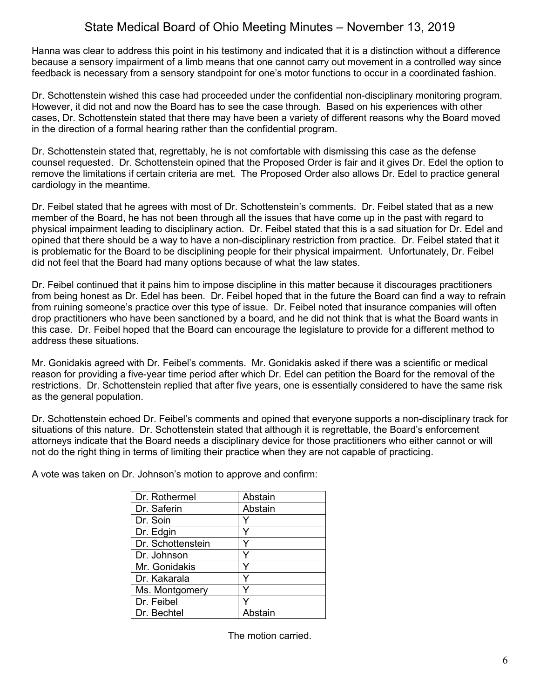Hanna was clear to address this point in his testimony and indicated that it is a distinction without a difference because a sensory impairment of a limb means that one cannot carry out movement in a controlled way since feedback is necessary from a sensory standpoint for one's motor functions to occur in a coordinated fashion.

Dr. Schottenstein wished this case had proceeded under the confidential non-disciplinary monitoring program. However, it did not and now the Board has to see the case through. Based on his experiences with other cases, Dr. Schottenstein stated that there may have been a variety of different reasons why the Board moved in the direction of a formal hearing rather than the confidential program.

Dr. Schottenstein stated that, regrettably, he is not comfortable with dismissing this case as the defense counsel requested. Dr. Schottenstein opined that the Proposed Order is fair and it gives Dr. Edel the option to remove the limitations if certain criteria are met. The Proposed Order also allows Dr. Edel to practice general cardiology in the meantime.

Dr. Feibel stated that he agrees with most of Dr. Schottenstein's comments. Dr. Feibel stated that as a new member of the Board, he has not been through all the issues that have come up in the past with regard to physical impairment leading to disciplinary action. Dr. Feibel stated that this is a sad situation for Dr. Edel and opined that there should be a way to have a non-disciplinary restriction from practice. Dr. Feibel stated that it is problematic for the Board to be disciplining people for their physical impairment. Unfortunately, Dr. Feibel did not feel that the Board had many options because of what the law states.

Dr. Feibel continued that it pains him to impose discipline in this matter because it discourages practitioners from being honest as Dr. Edel has been. Dr. Feibel hoped that in the future the Board can find a way to refrain from ruining someone's practice over this type of issue. Dr. Feibel noted that insurance companies will often drop practitioners who have been sanctioned by a board, and he did not think that is what the Board wants in this case. Dr. Feibel hoped that the Board can encourage the legislature to provide for a different method to address these situations.

Mr. Gonidakis agreed with Dr. Feibel's comments. Mr. Gonidakis asked if there was a scientific or medical reason for providing a five-year time period after which Dr. Edel can petition the Board for the removal of the restrictions. Dr. Schottenstein replied that after five years, one is essentially considered to have the same risk as the general population.

Dr. Schottenstein echoed Dr. Feibel's comments and opined that everyone supports a non-disciplinary track for situations of this nature. Dr. Schottenstein stated that although it is regrettable, the Board's enforcement attorneys indicate that the Board needs a disciplinary device for those practitioners who either cannot or will not do the right thing in terms of limiting their practice when they are not capable of practicing.

A vote was taken on Dr. Johnson's motion to approve and confirm:

| Abstain |
|---------|
| Abstain |
|         |
|         |
|         |
| Y       |
|         |
|         |
|         |
|         |
| Abstain |
|         |

The motion carried.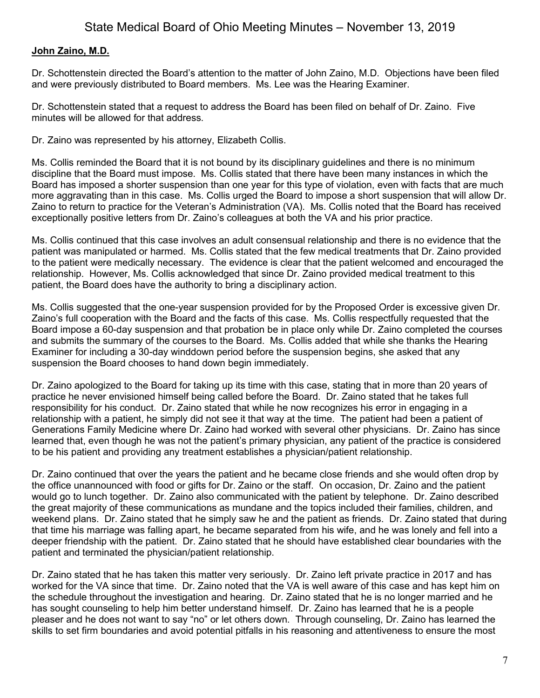# **John Zaino, M.D.**

Dr. Schottenstein directed the Board's attention to the matter of John Zaino, M.D. Objections have been filed and were previously distributed to Board members. Ms. Lee was the Hearing Examiner.

Dr. Schottenstein stated that a request to address the Board has been filed on behalf of Dr. Zaino. Five minutes will be allowed for that address.

Dr. Zaino was represented by his attorney, Elizabeth Collis.

Ms. Collis reminded the Board that it is not bound by its disciplinary guidelines and there is no minimum discipline that the Board must impose. Ms. Collis stated that there have been many instances in which the Board has imposed a shorter suspension than one year for this type of violation, even with facts that are much more aggravating than in this case. Ms. Collis urged the Board to impose a short suspension that will allow Dr. Zaino to return to practice for the Veteran's Administration (VA). Ms. Collis noted that the Board has received exceptionally positive letters from Dr. Zaino's colleagues at both the VA and his prior practice.

Ms. Collis continued that this case involves an adult consensual relationship and there is no evidence that the patient was manipulated or harmed. Ms. Collis stated that the few medical treatments that Dr. Zaino provided to the patient were medically necessary. The evidence is clear that the patient welcomed and encouraged the relationship. However, Ms. Collis acknowledged that since Dr. Zaino provided medical treatment to this patient, the Board does have the authority to bring a disciplinary action.

Ms. Collis suggested that the one-year suspension provided for by the Proposed Order is excessive given Dr. Zaino's full cooperation with the Board and the facts of this case. Ms. Collis respectfully requested that the Board impose a 60-day suspension and that probation be in place only while Dr. Zaino completed the courses and submits the summary of the courses to the Board. Ms. Collis added that while she thanks the Hearing Examiner for including a 30-day winddown period before the suspension begins, she asked that any suspension the Board chooses to hand down begin immediately.

Dr. Zaino apologized to the Board for taking up its time with this case, stating that in more than 20 years of practice he never envisioned himself being called before the Board. Dr. Zaino stated that he takes full responsibility for his conduct. Dr. Zaino stated that while he now recognizes his error in engaging in a relationship with a patient, he simply did not see it that way at the time. The patient had been a patient of Generations Family Medicine where Dr. Zaino had worked with several other physicians. Dr. Zaino has since learned that, even though he was not the patient's primary physician, any patient of the practice is considered to be his patient and providing any treatment establishes a physician/patient relationship.

Dr. Zaino continued that over the years the patient and he became close friends and she would often drop by the office unannounced with food or gifts for Dr. Zaino or the staff. On occasion, Dr. Zaino and the patient would go to lunch together. Dr. Zaino also communicated with the patient by telephone. Dr. Zaino described the great majority of these communications as mundane and the topics included their families, children, and weekend plans. Dr. Zaino stated that he simply saw he and the patient as friends. Dr. Zaino stated that during that time his marriage was falling apart, he became separated from his wife, and he was lonely and fell into a deeper friendship with the patient. Dr. Zaino stated that he should have established clear boundaries with the patient and terminated the physician/patient relationship.

Dr. Zaino stated that he has taken this matter very seriously. Dr. Zaino left private practice in 2017 and has worked for the VA since that time. Dr. Zaino noted that the VA is well aware of this case and has kept him on the schedule throughout the investigation and hearing. Dr. Zaino stated that he is no longer married and he has sought counseling to help him better understand himself. Dr. Zaino has learned that he is a people pleaser and he does not want to say "no" or let others down. Through counseling, Dr. Zaino has learned the skills to set firm boundaries and avoid potential pitfalls in his reasoning and attentiveness to ensure the most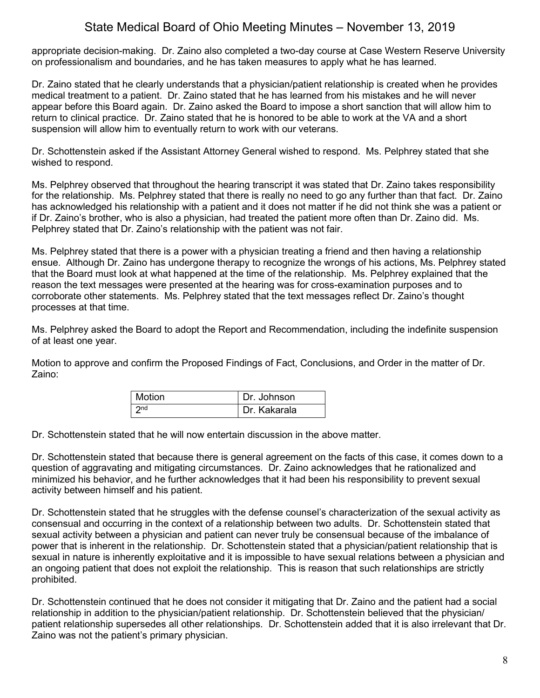appropriate decision-making. Dr. Zaino also completed a two-day course at Case Western Reserve University on professionalism and boundaries, and he has taken measures to apply what he has learned.

Dr. Zaino stated that he clearly understands that a physician/patient relationship is created when he provides medical treatment to a patient. Dr. Zaino stated that he has learned from his mistakes and he will never appear before this Board again. Dr. Zaino asked the Board to impose a short sanction that will allow him to return to clinical practice. Dr. Zaino stated that he is honored to be able to work at the VA and a short suspension will allow him to eventually return to work with our veterans.

Dr. Schottenstein asked if the Assistant Attorney General wished to respond. Ms. Pelphrey stated that she wished to respond.

Ms. Pelphrey observed that throughout the hearing transcript it was stated that Dr. Zaino takes responsibility for the relationship. Ms. Pelphrey stated that there is really no need to go any further than that fact. Dr. Zaino has acknowledged his relationship with a patient and it does not matter if he did not think she was a patient or if Dr. Zaino's brother, who is also a physician, had treated the patient more often than Dr. Zaino did. Ms. Pelphrey stated that Dr. Zaino's relationship with the patient was not fair.

Ms. Pelphrey stated that there is a power with a physician treating a friend and then having a relationship ensue. Although Dr. Zaino has undergone therapy to recognize the wrongs of his actions, Ms. Pelphrey stated that the Board must look at what happened at the time of the relationship. Ms. Pelphrey explained that the reason the text messages were presented at the hearing was for cross-examination purposes and to corroborate other statements. Ms. Pelphrey stated that the text messages reflect Dr. Zaino's thought processes at that time.

Ms. Pelphrey asked the Board to adopt the Report and Recommendation, including the indefinite suspension of at least one year.

Motion to approve and confirm the Proposed Findings of Fact, Conclusions, and Order in the matter of Dr. Zaino:

| <b>Motion</b>   | Dr. Johnson  |
|-----------------|--------------|
| 2n <sub>d</sub> | Dr. Kakarala |

Dr. Schottenstein stated that he will now entertain discussion in the above matter.

Dr. Schottenstein stated that because there is general agreement on the facts of this case, it comes down to a question of aggravating and mitigating circumstances. Dr. Zaino acknowledges that he rationalized and minimized his behavior, and he further acknowledges that it had been his responsibility to prevent sexual activity between himself and his patient.

Dr. Schottenstein stated that he struggles with the defense counsel's characterization of the sexual activity as consensual and occurring in the context of a relationship between two adults. Dr. Schottenstein stated that sexual activity between a physician and patient can never truly be consensual because of the imbalance of power that is inherent in the relationship. Dr. Schottenstein stated that a physician/patient relationship that is sexual in nature is inherently exploitative and it is impossible to have sexual relations between a physician and an ongoing patient that does not exploit the relationship. This is reason that such relationships are strictly prohibited.

Dr. Schottenstein continued that he does not consider it mitigating that Dr. Zaino and the patient had a social relationship in addition to the physician/patient relationship. Dr. Schottenstein believed that the physician/ patient relationship supersedes all other relationships. Dr. Schottenstein added that it is also irrelevant that Dr. Zaino was not the patient's primary physician.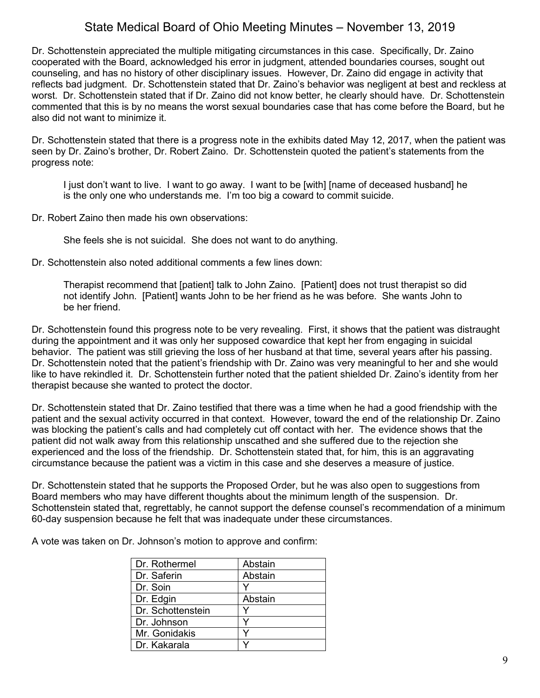Dr. Schottenstein appreciated the multiple mitigating circumstances in this case. Specifically, Dr. Zaino cooperated with the Board, acknowledged his error in judgment, attended boundaries courses, sought out counseling, and has no history of other disciplinary issues. However, Dr. Zaino did engage in activity that reflects bad judgment. Dr. Schottenstein stated that Dr. Zaino's behavior was negligent at best and reckless at worst. Dr. Schottenstein stated that if Dr. Zaino did not know better, he clearly should have. Dr. Schottenstein commented that this is by no means the worst sexual boundaries case that has come before the Board, but he also did not want to minimize it.

Dr. Schottenstein stated that there is a progress note in the exhibits dated May 12, 2017, when the patient was seen by Dr. Zaino's brother, Dr. Robert Zaino. Dr. Schottenstein quoted the patient's statements from the progress note:

I just don't want to live. I want to go away. I want to be [with] [name of deceased husband] he is the only one who understands me. I'm too big a coward to commit suicide.

Dr. Robert Zaino then made his own observations:

She feels she is not suicidal. She does not want to do anything.

Dr. Schottenstein also noted additional comments a few lines down:

Therapist recommend that [patient] talk to John Zaino. [Patient] does not trust therapist so did not identify John. [Patient] wants John to be her friend as he was before. She wants John to be her friend.

Dr. Schottenstein found this progress note to be very revealing. First, it shows that the patient was distraught during the appointment and it was only her supposed cowardice that kept her from engaging in suicidal behavior. The patient was still grieving the loss of her husband at that time, several years after his passing. Dr. Schottenstein noted that the patient's friendship with Dr. Zaino was very meaningful to her and she would like to have rekindled it. Dr. Schottenstein further noted that the patient shielded Dr. Zaino's identity from her therapist because she wanted to protect the doctor.

Dr. Schottenstein stated that Dr. Zaino testified that there was a time when he had a good friendship with the patient and the sexual activity occurred in that context. However, toward the end of the relationship Dr. Zaino was blocking the patient's calls and had completely cut off contact with her. The evidence shows that the patient did not walk away from this relationship unscathed and she suffered due to the rejection she experienced and the loss of the friendship. Dr. Schottenstein stated that, for him, this is an aggravating circumstance because the patient was a victim in this case and she deserves a measure of justice.

Dr. Schottenstein stated that he supports the Proposed Order, but he was also open to suggestions from Board members who may have different thoughts about the minimum length of the suspension. Dr. Schottenstein stated that, regrettably, he cannot support the defense counsel's recommendation of a minimum 60-day suspension because he felt that was inadequate under these circumstances.

A vote was taken on Dr. Johnson's motion to approve and confirm:

| Dr. Rothermel     | Abstain |
|-------------------|---------|
| Dr. Saferin       | Abstain |
| Dr. Soin          |         |
| Dr. Edgin         | Abstain |
| Dr. Schottenstein |         |
| Dr. Johnson       |         |
| Mr. Gonidakis     |         |
| Dr. Kakarala      |         |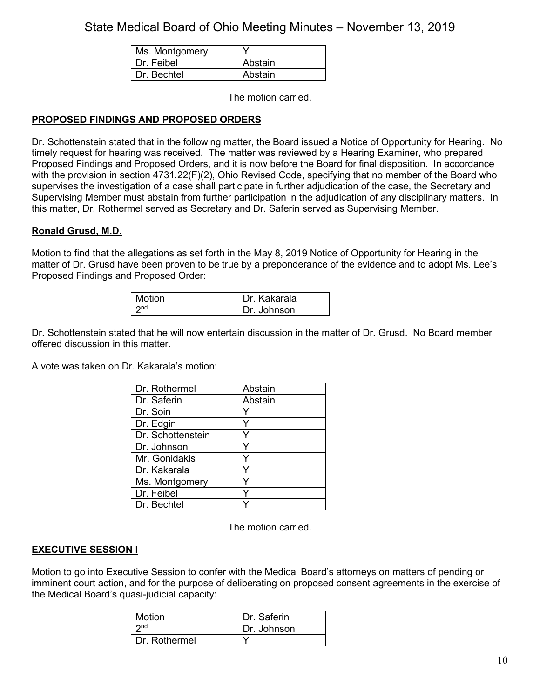| Ms. Montgomery |         |
|----------------|---------|
| Dr. Feibel     | Abstain |
| Dr. Bechtel    | Abstain |

The motion carried.

# **PROPOSED FINDINGS AND PROPOSED ORDERS**

Dr. Schottenstein stated that in the following matter, the Board issued a Notice of Opportunity for Hearing. No timely request for hearing was received. The matter was reviewed by a Hearing Examiner, who prepared Proposed Findings and Proposed Orders, and it is now before the Board for final disposition. In accordance with the provision in section 4731.22(F)(2), Ohio Revised Code, specifying that no member of the Board who supervises the investigation of a case shall participate in further adjudication of the case, the Secretary and Supervising Member must abstain from further participation in the adjudication of any disciplinary matters. In this matter, Dr. Rothermel served as Secretary and Dr. Saferin served as Supervising Member.

## **Ronald Grusd, M.D.**

Motion to find that the allegations as set forth in the May 8, 2019 Notice of Opportunity for Hearing in the matter of Dr. Grusd have been proven to be true by a preponderance of the evidence and to adopt Ms. Lee's Proposed Findings and Proposed Order:

| Motion | Dr. Kakarala |
|--------|--------------|
| つnd    | Dr. Johnson  |

Dr. Schottenstein stated that he will now entertain discussion in the matter of Dr. Grusd. No Board member offered discussion in this matter.

A vote was taken on Dr. Kakarala's motion:

| Dr. Rothermel     | Abstain |
|-------------------|---------|
| Dr. Saferin       | Abstain |
| Dr. Soin          | Y       |
| Dr. Edgin         | ٧       |
| Dr. Schottenstein |         |
| Dr. Johnson       | Y       |
| Mr. Gonidakis     |         |
| Dr. Kakarala      | ٧       |
| Ms. Montgomery    | v       |
| Dr. Feibel        |         |
| Dr. Bechtel       |         |

The motion carried.

## **EXECUTIVE SESSION I**

Motion to go into Executive Session to confer with the Medical Board's attorneys on matters of pending or imminent court action, and for the purpose of deliberating on proposed consent agreements in the exercise of the Medical Board's quasi-judicial capacity:

| Motion          | Dr. Saferin |
|-----------------|-------------|
| 2 <sub>nd</sub> | Dr. Johnson |
| Dr. Rothermel   |             |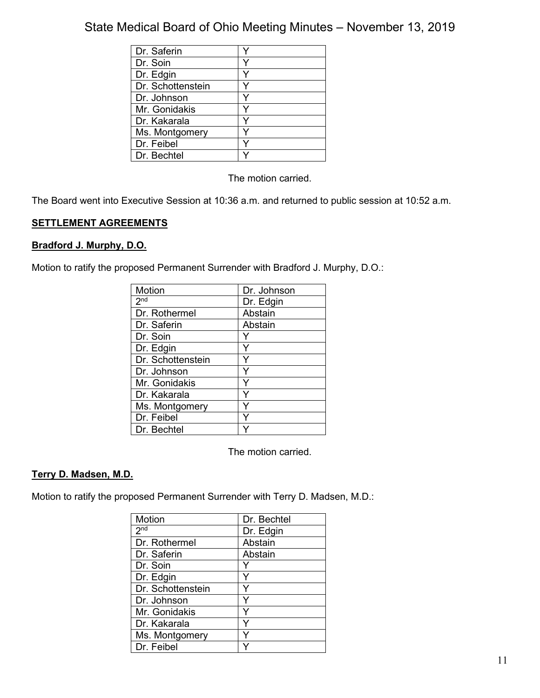| Dr. Saferin       |   |
|-------------------|---|
| Dr. Soin          | v |
| Dr. Edgin         |   |
| Dr. Schottenstein |   |
| Dr. Johnson       |   |
| Mr. Gonidakis     |   |
| Dr. Kakarala      |   |
| Ms. Montgomery    |   |
| Dr. Feibel        |   |
| Dr. Bechtel       |   |

The motion carried.

The Board went into Executive Session at 10:36 a.m. and returned to public session at 10:52 a.m.

# **SETTLEMENT AGREEMENTS**

# **Bradford J. Murphy, D.O.**

Motion to ratify the proposed Permanent Surrender with Bradford J. Murphy, D.O.:

| <b>Motion</b>     | Dr. Johnson |
|-------------------|-------------|
| 2 <sub>nd</sub>   | Dr. Edgin   |
| Dr. Rothermel     | Abstain     |
| Dr. Saferin       | Abstain     |
| Dr. Soin          |             |
| Dr. Edgin         |             |
| Dr. Schottenstein |             |
| Dr. Johnson       | Y           |
| Mr. Gonidakis     | Y           |
| Dr. Kakarala      | Y           |
| Ms. Montgomery    |             |
| Dr. Feibel        |             |
| Dr. Bechtel       |             |

The motion carried.

## **Terry D. Madsen, M.D.**

Motion to ratify the proposed Permanent Surrender with Terry D. Madsen, M.D.:

| Motion            | Dr. Bechtel |
|-------------------|-------------|
| 2 <sub>nd</sub>   | Dr. Edgin   |
| Dr. Rothermel     | Abstain     |
| Dr. Saferin       | Abstain     |
| Dr. Soin          |             |
| Dr. Edgin         | Y           |
| Dr. Schottenstein | Y           |
| Dr. Johnson       | Υ           |
| Mr. Gonidakis     | Y           |
| Dr. Kakarala      | Y           |
| Ms. Montgomery    |             |
| Dr. Feibel        |             |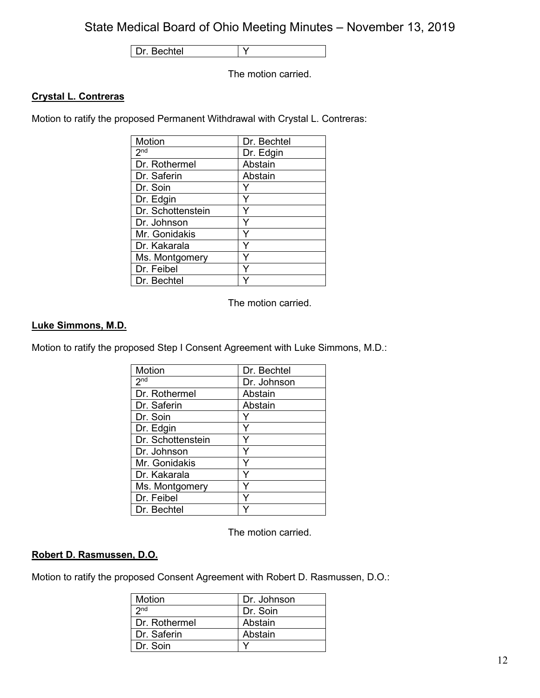Dr. Bechtel Y

The motion carried.

# **Crystal L. Contreras**

Motion to ratify the proposed Permanent Withdrawal with Crystal L. Contreras:

| <b>Motion</b>     | Dr. Bechtel |
|-------------------|-------------|
| 2 <sup>nd</sup>   | Dr. Edgin   |
| Dr. Rothermel     | Abstain     |
| Dr. Saferin       | Abstain     |
| Dr. Soin          |             |
| Dr. Edgin         |             |
| Dr. Schottenstein |             |
| Dr. Johnson       | Y           |
| Mr. Gonidakis     | Y           |
| Dr. Kakarala      |             |
| Ms. Montgomery    |             |
| Dr. Feibel        |             |
| Dr. Bechtel       |             |

The motion carried.

# **Luke Simmons, M.D.**

Motion to ratify the proposed Step I Consent Agreement with Luke Simmons, M.D.:

| Motion            | Dr. Bechtel |
|-------------------|-------------|
| 2 <sub>nd</sub>   | Dr. Johnson |
| Dr. Rothermel     | Abstain     |
| Dr. Saferin       | Abstain     |
| Dr. Soin          |             |
| Dr. Edgin         | Y           |
| Dr. Schottenstein |             |
| Dr. Johnson       | Y           |
| Mr. Gonidakis     | Y           |
| Dr. Kakarala      | Y           |
| Ms. Montgomery    | ٧           |
| Dr. Feibel        |             |
| Dr. Bechtel       |             |

The motion carried.

## **Robert D. Rasmussen, D.O.**

Motion to ratify the proposed Consent Agreement with Robert D. Rasmussen, D.O.:

| Motion          | Dr. Johnson |
|-----------------|-------------|
| 2 <sub>nd</sub> | Dr. Soin    |
| Dr. Rothermel   | Abstain     |
| Dr. Saferin     | Abstain     |
| Dr. Soin        |             |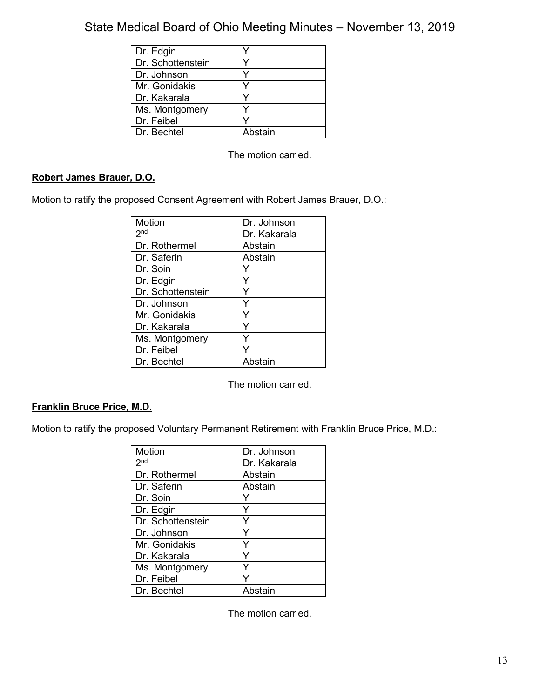| Dr. Edgin         |         |
|-------------------|---------|
| Dr. Schottenstein |         |
| Dr. Johnson       |         |
| Mr. Gonidakis     |         |
| Dr. Kakarala      |         |
| Ms. Montgomery    |         |
| Dr. Feibel        |         |
| Dr. Bechtel       | Abstain |

The motion carried.

# **Robert James Brauer, D.O.**

Motion to ratify the proposed Consent Agreement with Robert James Brauer, D.O.:

| Motion            | Dr. Johnson  |
|-------------------|--------------|
| 2 <sub>nd</sub>   | Dr. Kakarala |
| Dr. Rothermel     | Abstain      |
| Dr. Saferin       | Abstain      |
| Dr. Soin          |              |
| Dr. Edgin         | Y            |
| Dr. Schottenstein | Y            |
| Dr. Johnson       | Υ            |
| Mr. Gonidakis     | Y            |
| Dr. Kakarala      |              |
| Ms. Montgomery    |              |
| Dr. Feibel        |              |
| Dr. Bechtel       | Abstain      |

The motion carried.

# **Franklin Bruce Price, M.D.**

Motion to ratify the proposed Voluntary Permanent Retirement with Franklin Bruce Price, M.D.:

| Motion                     | Dr. Johnson  |
|----------------------------|--------------|
| $2^{\overline{\text{nd}}}$ | Dr. Kakarala |
| Dr. Rothermel              | Abstain      |
| Dr. Saferin                | Abstain      |
| Dr. Soin                   |              |
| Dr. Edgin                  |              |
| Dr. Schottenstein          |              |
| Dr. Johnson                | Y            |
| Mr. Gonidakis              | Y            |
| Dr. Kakarala               | ٧            |
| Ms. Montgomery             |              |
| Dr. Feibel                 |              |
| Dr. Bechtel                | Abstain      |

The motion carried.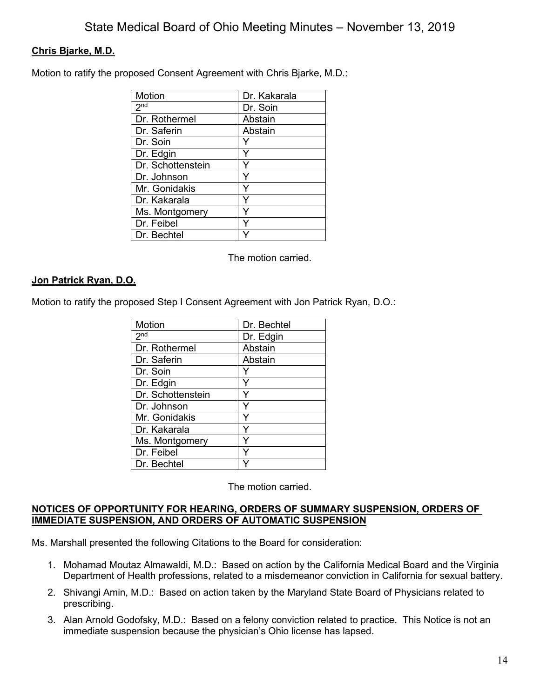# **Chris Bjarke, M.D.**

Motion to ratify the proposed Consent Agreement with Chris Bjarke, M.D.:

| Motion            | Dr. Kakarala |
|-------------------|--------------|
| 2 <sub>nd</sub>   | Dr. Soin     |
| Dr. Rothermel     | Abstain      |
| Dr. Saferin       | Abstain      |
| Dr. Soin          |              |
| Dr. Edgin         |              |
| Dr. Schottenstein | Y            |
| Dr. Johnson       | Y            |
| Mr. Gonidakis     | Y            |
| Dr. Kakarala      | Υ            |
| Ms. Montgomery    |              |
| Dr. Feibel        |              |
| Dr. Bechtel       |              |

The motion carried.

# **Jon Patrick Ryan, D.O.**

Motion to ratify the proposed Step I Consent Agreement with Jon Patrick Ryan, D.O.:

| Motion            | Dr. Bechtel |
|-------------------|-------------|
| 2 <sub>nd</sub>   | Dr. Edgin   |
| Dr. Rothermel     | Abstain     |
| Dr. Saferin       | Abstain     |
| Dr. Soin          |             |
| Dr. Edgin         | Y           |
| Dr. Schottenstein | Y           |
| Dr. Johnson       |             |
| Mr. Gonidakis     | Υ           |
| Dr. Kakarala      | ٧           |
| Ms. Montgomery    |             |
| Dr. Feibel        | Y           |
| Dr. Bechtel       |             |

The motion carried.

### **NOTICES OF OPPORTUNITY FOR HEARING, ORDERS OF SUMMARY SUSPENSION, ORDERS OF IMMEDIATE SUSPENSION, AND ORDERS OF AUTOMATIC SUSPENSION**

Ms. Marshall presented the following Citations to the Board for consideration:

- 1. Mohamad Moutaz Almawaldi, M.D.: Based on action by the California Medical Board and the Virginia Department of Health professions, related to a misdemeanor conviction in California for sexual battery.
- 2. Shivangi Amin, M.D.: Based on action taken by the Maryland State Board of Physicians related to prescribing.
- 3. Alan Arnold Godofsky, M.D.: Based on a felony conviction related to practice. This Notice is not an immediate suspension because the physician's Ohio license has lapsed.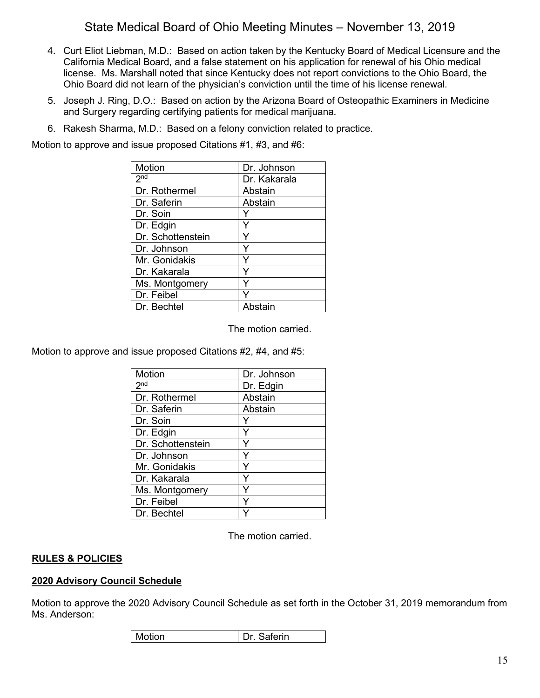- 4. Curt Eliot Liebman, M.D.: Based on action taken by the Kentucky Board of Medical Licensure and the California Medical Board, and a false statement on his application for renewal of his Ohio medical license. Ms. Marshall noted that since Kentucky does not report convictions to the Ohio Board, the Ohio Board did not learn of the physician's conviction until the time of his license renewal.
- 5. Joseph J. Ring, D.O.: Based on action by the Arizona Board of Osteopathic Examiners in Medicine and Surgery regarding certifying patients for medical marijuana.
- 6. Rakesh Sharma, M.D.: Based on a felony conviction related to practice.

Motion to approve and issue proposed Citations #1, #3, and #6:

| Motion              | Dr. Johnson  |
|---------------------|--------------|
| $2^{n\overline{d}}$ | Dr. Kakarala |
| Dr. Rothermel       | Abstain      |
| Dr. Saferin         | Abstain      |
| Dr. Soin            |              |
| Dr. Edgin           | Y            |
| Dr. Schottenstein   | Y            |
| Dr. Johnson         | Y            |
| Mr. Gonidakis       | Y            |
| Dr. Kakarala        | Y            |
| Ms. Montgomery      | Y            |
| Dr. Feibel          |              |
| Dr. Bechtel         | Abstain      |

The motion carried.

Motion to approve and issue proposed Citations #2, #4, and #5:

| Motion            | Dr. Johnson |
|-------------------|-------------|
| 2 <sub>nd</sub>   | Dr. Edgin   |
| Dr. Rothermel     | Abstain     |
| Dr. Saferin       | Abstain     |
| Dr. Soin          |             |
| Dr. Edgin         |             |
| Dr. Schottenstein |             |
| Dr. Johnson       | Y           |
| Mr. Gonidakis     | Y           |
| Dr. Kakarala      | ٧           |
| Ms. Montgomery    |             |
| Dr. Feibel        |             |
| Dr. Bechtel       |             |

The motion carried.

# **RULES & POLICIES**

## **2020 Advisory Council Schedule**

Motion to approve the 2020 Advisory Council Schedule as set forth in the October 31, 2019 memorandum from Ms. Anderson:

| Motion | Dr<br>∍aterın |
|--------|---------------|
|--------|---------------|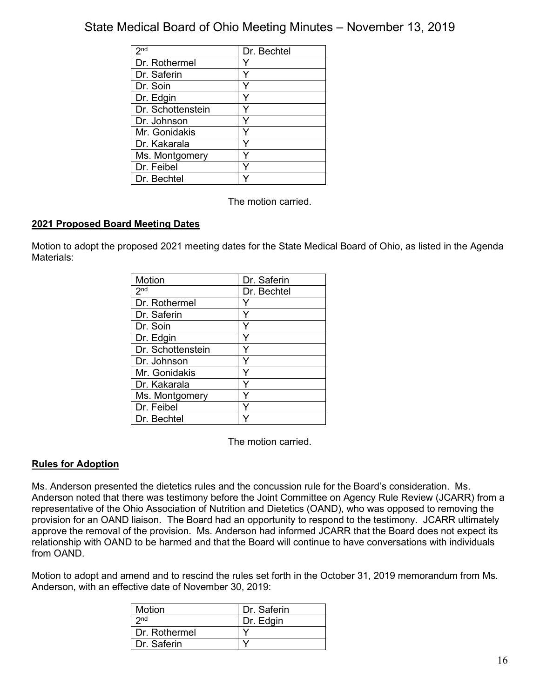| 2 <sub>nd</sub>   | Dr. Bechtel |
|-------------------|-------------|
| Dr. Rothermel     |             |
| Dr. Saferin       |             |
| Dr. Soin          |             |
| Dr. Edgin         |             |
| Dr. Schottenstein |             |
| Dr. Johnson       |             |
| Mr. Gonidakis     |             |
| Dr. Kakarala      |             |
| Ms. Montgomery    |             |
| Dr. Feibel        |             |
| Dr. Bechtel       |             |

The motion carried.

# **2021 Proposed Board Meeting Dates**

Motion to adopt the proposed 2021 meeting dates for the State Medical Board of Ohio, as listed in the Agenda Materials<sup>:</sup>

| <b>Motion</b>     | Dr. Saferin |
|-------------------|-------------|
| 2 <sub>nd</sub>   | Dr. Bechtel |
| Dr. Rothermel     |             |
| Dr. Saferin       | Y           |
| Dr. Soin          |             |
| Dr. Edgin         |             |
| Dr. Schottenstein |             |
| Dr. Johnson       | Y           |
| Mr. Gonidakis     | Y           |
| Dr. Kakarala      | Y           |
| Ms. Montgomery    |             |
| Dr. Feibel        |             |
| Dr. Bechtel       |             |

The motion carried.

## **Rules for Adoption**

Ms. Anderson presented the dietetics rules and the concussion rule for the Board's consideration. Ms. Anderson noted that there was testimony before the Joint Committee on Agency Rule Review (JCARR) from a representative of the Ohio Association of Nutrition and Dietetics (OAND), who was opposed to removing the provision for an OAND liaison. The Board had an opportunity to respond to the testimony. JCARR ultimately approve the removal of the provision. Ms. Anderson had informed JCARR that the Board does not expect its relationship with OAND to be harmed and that the Board will continue to have conversations with individuals from OAND.

Motion to adopt and amend and to rescind the rules set forth in the October 31, 2019 memorandum from Ms. Anderson, with an effective date of November 30, 2019:

| Dr. Saferin |
|-------------|
| Dr. Edgin   |
|             |
|             |
|             |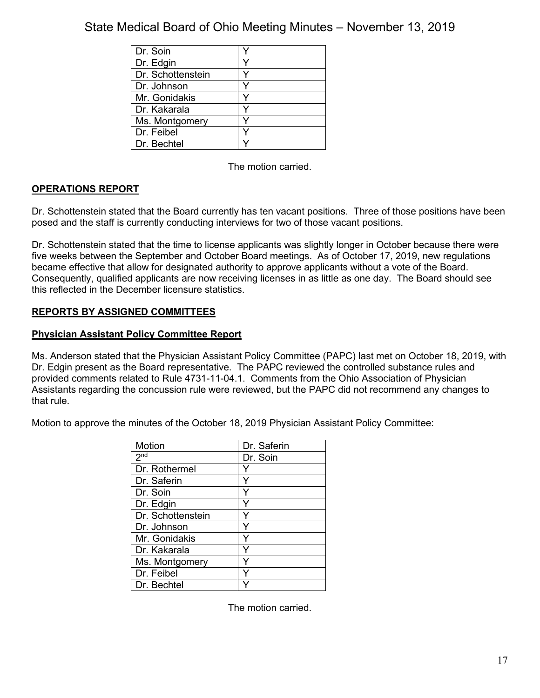| Dr. Soin          |  |
|-------------------|--|
| Dr. Edgin         |  |
| Dr. Schottenstein |  |
| Dr. Johnson       |  |
| Mr. Gonidakis     |  |
| Dr. Kakarala      |  |
| Ms. Montgomery    |  |
| Dr. Feibel        |  |
| Dr. Bechtel       |  |

The motion carried.

# **OPERATIONS REPORT**

Dr. Schottenstein stated that the Board currently has ten vacant positions. Three of those positions have been posed and the staff is currently conducting interviews for two of those vacant positions.

Dr. Schottenstein stated that the time to license applicants was slightly longer in October because there were five weeks between the September and October Board meetings. As of October 17, 2019, new regulations became effective that allow for designated authority to approve applicants without a vote of the Board. Consequently, qualified applicants are now receiving licenses in as little as one day. The Board should see this reflected in the December licensure statistics.

# **REPORTS BY ASSIGNED COMMITTEES**

## **Physician Assistant Policy Committee Report**

Ms. Anderson stated that the Physician Assistant Policy Committee (PAPC) last met on October 18, 2019, with Dr. Edgin present as the Board representative. The PAPC reviewed the controlled substance rules and provided comments related to Rule 4731-11-04.1. Comments from the Ohio Association of Physician Assistants regarding the concussion rule were reviewed, but the PAPC did not recommend any changes to that rule.

Motion to approve the minutes of the October 18, 2019 Physician Assistant Policy Committee:

| Motion            | Dr. Saferin |
|-------------------|-------------|
| 2 <sup>nd</sup>   | Dr. Soin    |
| Dr. Rothermel     |             |
| Dr. Saferin       |             |
| Dr. Soin          |             |
| Dr. Edgin         |             |
| Dr. Schottenstein |             |
| Dr. Johnson       |             |
| Mr. Gonidakis     |             |
| Dr. Kakarala      |             |
| Ms. Montgomery    |             |
| Dr. Feibel        |             |
| Dr. Bechtel       |             |

The motion carried.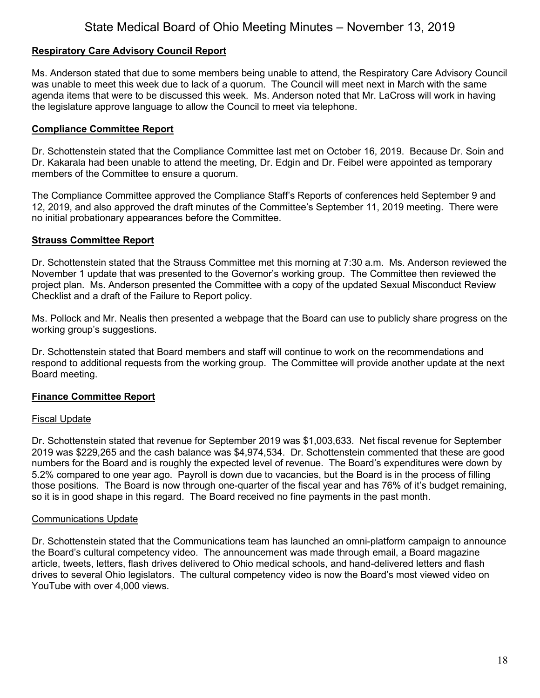## **Respiratory Care Advisory Council Report**

Ms. Anderson stated that due to some members being unable to attend, the Respiratory Care Advisory Council was unable to meet this week due to lack of a quorum. The Council will meet next in March with the same agenda items that were to be discussed this week. Ms. Anderson noted that Mr. LaCross will work in having the legislature approve language to allow the Council to meet via telephone.

### **Compliance Committee Report**

Dr. Schottenstein stated that the Compliance Committee last met on October 16, 2019. Because Dr. Soin and Dr. Kakarala had been unable to attend the meeting, Dr. Edgin and Dr. Feibel were appointed as temporary members of the Committee to ensure a quorum.

The Compliance Committee approved the Compliance Staff's Reports of conferences held September 9 and 12, 2019, and also approved the draft minutes of the Committee's September 11, 2019 meeting. There were no initial probationary appearances before the Committee.

### **Strauss Committee Report**

Dr. Schottenstein stated that the Strauss Committee met this morning at 7:30 a.m. Ms. Anderson reviewed the November 1 update that was presented to the Governor's working group. The Committee then reviewed the project plan. Ms. Anderson presented the Committee with a copy of the updated Sexual Misconduct Review Checklist and a draft of the Failure to Report policy.

Ms. Pollock and Mr. Nealis then presented a webpage that the Board can use to publicly share progress on the working group's suggestions.

Dr. Schottenstein stated that Board members and staff will continue to work on the recommendations and respond to additional requests from the working group. The Committee will provide another update at the next Board meeting.

## **Finance Committee Report**

#### Fiscal Update

Dr. Schottenstein stated that revenue for September 2019 was \$1,003,633. Net fiscal revenue for September 2019 was \$229,265 and the cash balance was \$4,974,534. Dr. Schottenstein commented that these are good numbers for the Board and is roughly the expected level of revenue. The Board's expenditures were down by 5.2% compared to one year ago. Payroll is down due to vacancies, but the Board is in the process of filling those positions. The Board is now through one-quarter of the fiscal year and has 76% of it's budget remaining, so it is in good shape in this regard. The Board received no fine payments in the past month.

#### Communications Update

Dr. Schottenstein stated that the Communications team has launched an omni-platform campaign to announce the Board's cultural competency video. The announcement was made through email, a Board magazine article, tweets, letters, flash drives delivered to Ohio medical schools, and hand-delivered letters and flash drives to several Ohio legislators. The cultural competency video is now the Board's most viewed video on YouTube with over 4,000 views.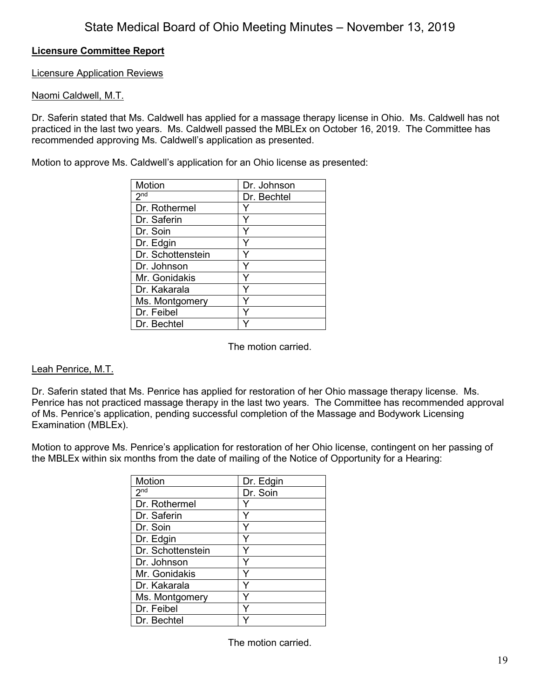# **Licensure Committee Report**

Licensure Application Reviews

# Naomi Caldwell, M.T.

Dr. Saferin stated that Ms. Caldwell has applied for a massage therapy license in Ohio. Ms. Caldwell has not practiced in the last two years. Ms. Caldwell passed the MBLEx on October 16, 2019. The Committee has recommended approving Ms. Caldwell's application as presented.

Motion to approve Ms. Caldwell's application for an Ohio license as presented:

| Motion            | Dr. Johnson |
|-------------------|-------------|
| 2 <sup>nd</sup>   | Dr. Bechtel |
| Dr. Rothermel     |             |
| Dr. Saferin       | Υ           |
| Dr. Soin          |             |
| Dr. Edgin         | Y           |
| Dr. Schottenstein | Y           |
| Dr. Johnson       | Y           |
| Mr. Gonidakis     |             |
| Dr. Kakarala      | ٧           |
| Ms. Montgomery    |             |
| Dr. Feibel        |             |
| Dr. Bechtel       |             |

The motion carried.

## Leah Penrice, M.T.

Dr. Saferin stated that Ms. Penrice has applied for restoration of her Ohio massage therapy license. Ms. Penrice has not practiced massage therapy in the last two years. The Committee has recommended approval of Ms. Penrice's application, pending successful completion of the Massage and Bodywork Licensing Examination (MBLEx).

Motion to approve Ms. Penrice's application for restoration of her Ohio license, contingent on her passing of the MBLEx within six months from the date of mailing of the Notice of Opportunity for a Hearing:

| Motion            | Dr. Edgin |
|-------------------|-----------|
| 2 <sub>nd</sub>   | Dr. Soin  |
| Dr. Rothermel     | Y         |
| Dr. Saferin       | Y         |
| Dr. Soin          | Y         |
| Dr. Edgin         | Y         |
| Dr. Schottenstein | Y         |
| Dr. Johnson       | Y         |
| Mr. Gonidakis     | Y         |
| Dr. Kakarala      | Y         |
| Ms. Montgomery    | ⋎         |
| Dr. Feibel        |           |
| Dr. Bechtel       |           |

The motion carried.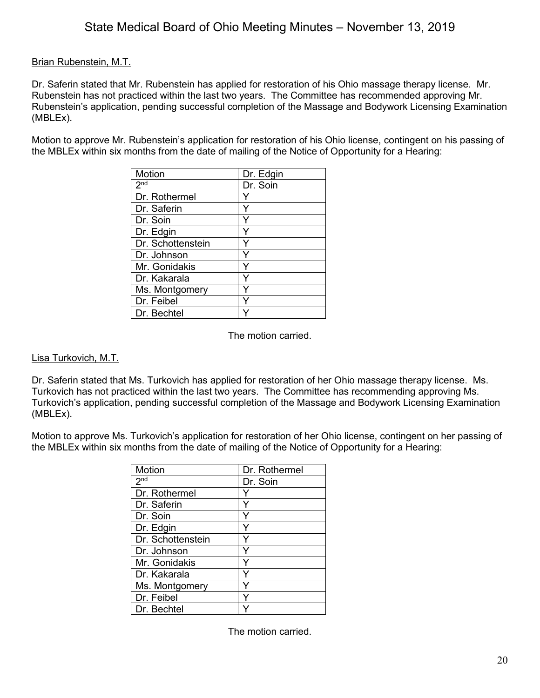# Brian Rubenstein, M.T.

Dr. Saferin stated that Mr. Rubenstein has applied for restoration of his Ohio massage therapy license. Mr. Rubenstein has not practiced within the last two years. The Committee has recommended approving Mr. Rubenstein's application, pending successful completion of the Massage and Bodywork Licensing Examination (MBLEx).

Motion to approve Mr. Rubenstein's application for restoration of his Ohio license, contingent on his passing of the MBLEx within six months from the date of mailing of the Notice of Opportunity for a Hearing:

| Motion            | Dr. Edgin |
|-------------------|-----------|
| 2 <sup>nd</sup>   | Dr. Soin  |
| Dr. Rothermel     |           |
| Dr. Saferin       | Y         |
| Dr. Soin          | Y         |
| Dr. Edgin         |           |
| Dr. Schottenstein |           |
| Dr. Johnson       | Y         |
| Mr. Gonidakis     | Y         |
| Dr. Kakarala      | Y         |
| Ms. Montgomery    |           |
| Dr. Feibel        |           |
| Dr. Bechtel       |           |

The motion carried.

## Lisa Turkovich, M.T.

Dr. Saferin stated that Ms. Turkovich has applied for restoration of her Ohio massage therapy license. Ms. Turkovich has not practiced within the last two years. The Committee has recommending approving Ms. Turkovich's application, pending successful completion of the Massage and Bodywork Licensing Examination (MBLEx).

Motion to approve Ms. Turkovich's application for restoration of her Ohio license, contingent on her passing of the MBLEx within six months from the date of mailing of the Notice of Opportunity for a Hearing:

| Motion            | Dr. Rothermel |
|-------------------|---------------|
| 2 <sup>nd</sup>   | Dr. Soin      |
| Dr. Rothermel     |               |
| Dr. Saferin       | Y             |
| Dr. Soin          |               |
| Dr. Edgin         |               |
| Dr. Schottenstein | Y             |
| Dr. Johnson       | Y             |
| Mr. Gonidakis     | Y             |
| Dr. Kakarala      | Y             |
| Ms. Montgomery    |               |
| Dr. Feibel        |               |
| Dr. Bechtel       |               |

The motion carried.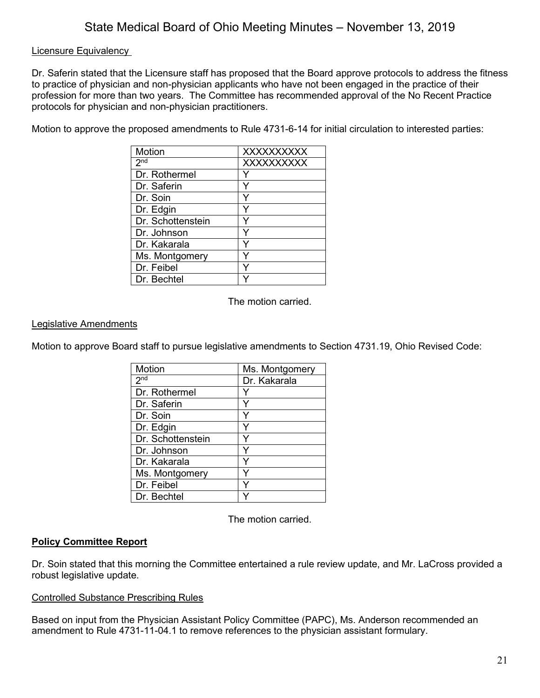# Licensure Equivalency

Dr. Saferin stated that the Licensure staff has proposed that the Board approve protocols to address the fitness to practice of physician and non-physician applicants who have not been engaged in the practice of their profession for more than two years. The Committee has recommended approval of the No Recent Practice protocols for physician and non-physician practitioners.

Motion to approve the proposed amendments to Rule 4731-6-14 for initial circulation to interested parties:

| Motion            | <b>XXXXXXXXXX</b> |
|-------------------|-------------------|
| 2 <sup>nd</sup>   | <b>XXXXXXXXXX</b> |
| Dr. Rothermel     |                   |
| Dr. Saferin       |                   |
| Dr. Soin          |                   |
| Dr. Edgin         |                   |
| Dr. Schottenstein |                   |
| Dr. Johnson       |                   |
| Dr. Kakarala      |                   |
| Ms. Montgomery    |                   |
| Dr. Feibel        |                   |
| Dr. Bechtel       |                   |

The motion carried.

# Legislative Amendments

Motion to approve Board staff to pursue legislative amendments to Section 4731.19, Ohio Revised Code:

| Motion            | Ms. Montgomery |
|-------------------|----------------|
| 2 <sub>nd</sub>   | Dr. Kakarala   |
| Dr. Rothermel     |                |
| Dr. Saferin       | Y              |
| Dr. Soin          |                |
| Dr. Edgin         |                |
| Dr. Schottenstein |                |
| Dr. Johnson       | Y              |
| Dr. Kakarala      | Y              |
| Ms. Montgomery    | Y              |
| Dr. Feibel        | Y              |
| Dr. Bechtel       |                |

The motion carried.

# **Policy Committee Report**

Dr. Soin stated that this morning the Committee entertained a rule review update, and Mr. LaCross provided a robust legislative update.

## Controlled Substance Prescribing Rules

Based on input from the Physician Assistant Policy Committee (PAPC), Ms. Anderson recommended an amendment to Rule 4731-11-04.1 to remove references to the physician assistant formulary.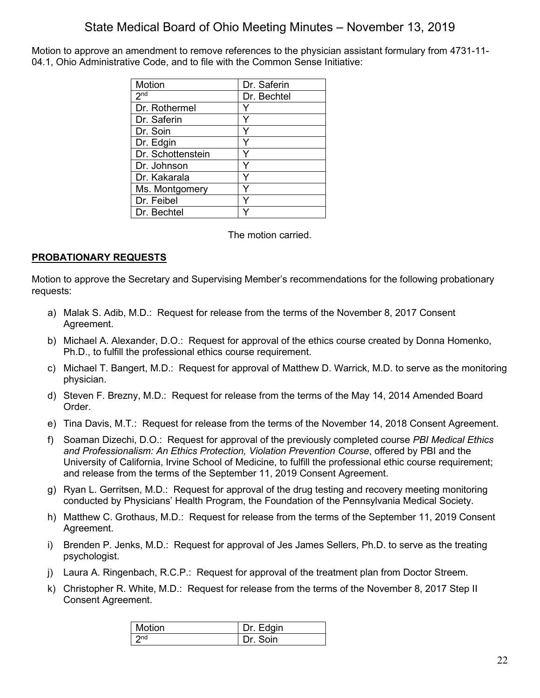Motion to approve an amendment to remove references to the physician assistant formulary from 4731-11- 04.1, Ohio Administrative Code, and to file with the Common Sense Initiative:

| Motion                     | Dr. Saferin |
|----------------------------|-------------|
| $2^{\overline{\text{nd}}}$ | Dr. Bechtel |
| Dr. Rothermel              |             |
| Dr. Saferin                |             |
| Dr. Soin                   | Y           |
| Dr. Edgin                  |             |
| Dr. Schottenstein          |             |
| Dr. Johnson                | Y           |
| Dr. Kakarala               |             |
| Ms. Montgomery             | Υ           |
| Dr. Feibel                 | ٧           |
| Dr. Bechtel                |             |

The motion carried.

# **PROBATIONARY REQUESTS**

Motion to approve the Secretary and Supervising Member's recommendations for the following probationary requests:

- a) Malak S. Adib, M.D.: Request for release from the terms of the November 8, 2017 Consent Agreement.
- b) Michael A. Alexander, D.O.: Request for approval of the ethics course created by Donna Homenko, Ph.D., to fulfill the professional ethics course requirement.
- c) Michael T. Bangert, M.D.: Request for approval of Matthew D. Warrick, M.D. to serve as the monitoring physician.
- d) Steven F. Brezny, M.D.: Request for release from the terms of the May 14, 2014 Amended Board Order.
- e) Tina Davis, M.T.: Request for release from the terms of the November 14, 2018 Consent Agreement.
- f) Soaman Dizechi, D.O.: Request for approval of the previously completed course *PBI Medical Ethics and Professionalism: An Ethics Protection, Violation Prevention Course*, offered by PBI and the University of California, Irvine School of Medicine, to fulfill the professional ethic course requirement; and release from the terms of the September 11, 2019 Consent Agreement.
- g) Ryan L. Gerritsen, M.D.: Request for approval of the drug testing and recovery meeting monitoring conducted by Physicians' Health Program, the Foundation of the Pennsylvania Medical Society.
- h) Matthew C. Grothaus, M.D.: Request for release from the terms of the September 11, 2019 Consent Agreement.
- i) Brenden P. Jenks, M.D.: Request for approval of Jes James Sellers, Ph.D. to serve as the treating psychologist.
- j) Laura A. Ringenbach, R.C.P.: Request for approval of the treatment plan from Doctor Streem.
- k) Christopher R. White, M.D.: Request for release from the terms of the November 8, 2017 Step II Consent Agreement.

| Motion          | Dr. Edgin |
|-----------------|-----------|
| 2 <sub>nd</sub> | Soin      |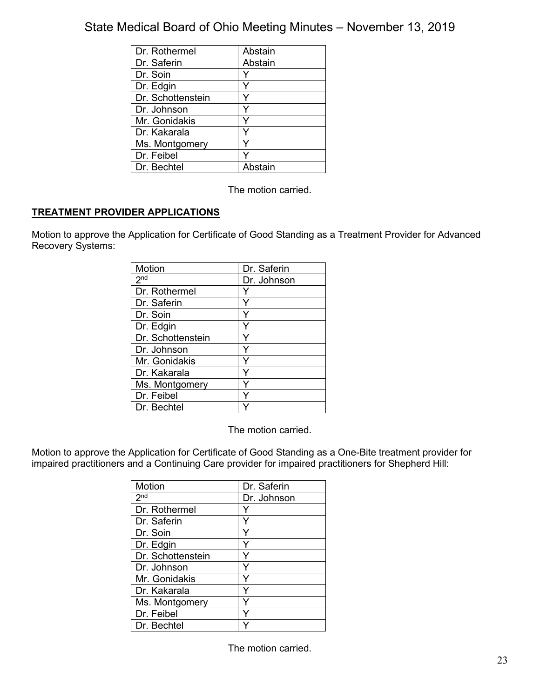| Dr. Rothermel     | Abstain |
|-------------------|---------|
| Dr. Saferin       | Abstain |
| Dr. Soin          |         |
| Dr. Edgin         |         |
| Dr. Schottenstein |         |
| Dr. Johnson       |         |
| Mr. Gonidakis     |         |
| Dr. Kakarala      |         |
| Ms. Montgomery    |         |
| Dr. Feibel        |         |
| Dr. Bechtel       | Ahstain |

The motion carried.

# **TREATMENT PROVIDER APPLICATIONS**

Motion to approve the Application for Certificate of Good Standing as a Treatment Provider for Advanced Recovery Systems:

| Motion            | Dr. Saferin |
|-------------------|-------------|
| 2 <sub>nd</sub>   | Dr. Johnson |
| Dr. Rothermel     |             |
| Dr. Saferin       |             |
| Dr. Soin          |             |
| Dr. Edgin         |             |
| Dr. Schottenstein | Y           |
| Dr. Johnson       | Y           |
| Mr. Gonidakis     |             |
| Dr. Kakarala      |             |
| Ms. Montgomery    |             |
| Dr. Feibel        |             |
| Dr. Bechtel       |             |

The motion carried.

Motion to approve the Application for Certificate of Good Standing as a One-Bite treatment provider for impaired practitioners and a Continuing Care provider for impaired practitioners for Shepherd Hill:

| Motion            | Dr. Saferin |
|-------------------|-------------|
| 2 <sub>nd</sub>   | Dr. Johnson |
| Dr. Rothermel     |             |
| Dr. Saferin       | Y           |
| Dr. Soin          |             |
| Dr. Edgin         |             |
| Dr. Schottenstein | Y           |
| Dr. Johnson       | Y           |
| Mr. Gonidakis     | Y           |
| Dr. Kakarala      | Y           |
| Ms. Montgomery    | Y           |
| Dr. Feibel        |             |
| Dr. Bechtel       |             |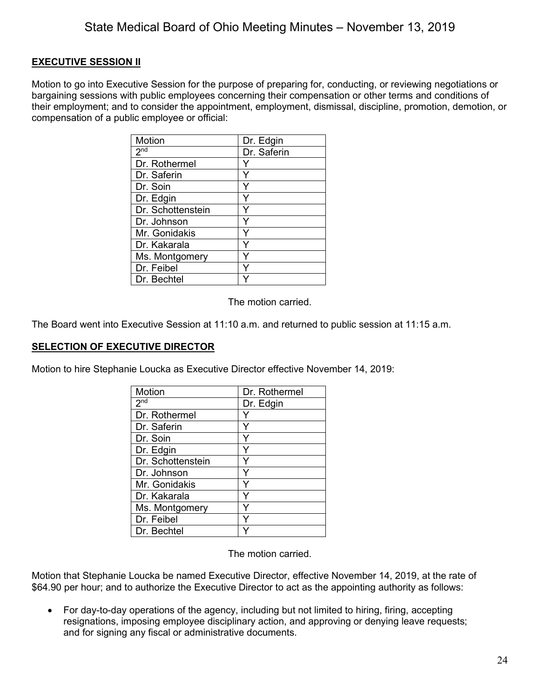# **EXECUTIVE SESSION II**

Motion to go into Executive Session for the purpose of preparing for, conducting, or reviewing negotiations or bargaining sessions with public employees concerning their compensation or other terms and conditions of their employment; and to consider the appointment, employment, dismissal, discipline, promotion, demotion, or compensation of a public employee or official:

| <b>Motion</b>     | Dr. Edgin   |
|-------------------|-------------|
| 2 <sup>nd</sup>   | Dr. Saferin |
| Dr. Rothermel     |             |
| Dr. Saferin       |             |
| Dr. Soin          |             |
| Dr. Edgin         | Y           |
| Dr. Schottenstein | Y           |
| Dr. Johnson       | Y           |
| Mr. Gonidakis     | Y           |
| Dr. Kakarala      |             |
| Ms. Montgomery    |             |
| Dr. Feibel        |             |
| Dr. Bechtel       |             |

The motion carried.

The Board went into Executive Session at 11:10 a.m. and returned to public session at 11:15 a.m.

## **SELECTION OF EXECUTIVE DIRECTOR**

Motion to hire Stephanie Loucka as Executive Director effective November 14, 2019:

| Motion              | Dr. Rothermel |
|---------------------|---------------|
| $2^{\overline{nd}}$ | Dr. Edgin     |
| Dr. Rothermel       |               |
| Dr. Saferin         |               |
| Dr. Soin            | Y             |
| Dr. Edgin           | Y             |
| Dr. Schottenstein   | Y             |
| Dr. Johnson         | Y             |
| Mr. Gonidakis       | Y             |
| Dr. Kakarala        | Y             |
| Ms. Montgomery      | Y             |
| Dr. Feibel          |               |
| Dr. Bechtel         |               |

The motion carried.

Motion that Stephanie Loucka be named Executive Director, effective November 14, 2019, at the rate of \$64.90 per hour; and to authorize the Executive Director to act as the appointing authority as follows:

• For day-to-day operations of the agency, including but not limited to hiring, firing, accepting resignations, imposing employee disciplinary action, and approving or denying leave requests; and for signing any fiscal or administrative documents.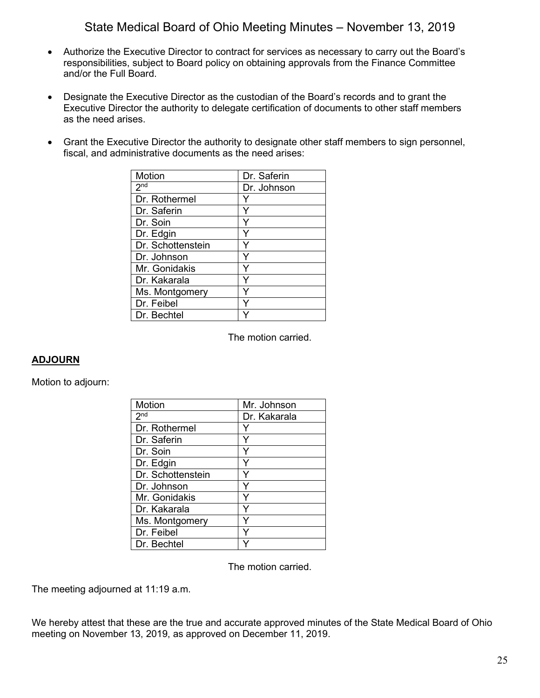- Authorize the Executive Director to contract for services as necessary to carry out the Board's responsibilities, subject to Board policy on obtaining approvals from the Finance Committee and/or the Full Board.
- Designate the Executive Director as the custodian of the Board's records and to grant the Executive Director the authority to delegate certification of documents to other staff members as the need arises.
- Grant the Executive Director the authority to designate other staff members to sign personnel, fiscal, and administrative documents as the need arises:

| Motion            | Dr. Saferin |
|-------------------|-------------|
| 2 <sup>nd</sup>   | Dr. Johnson |
| Dr. Rothermel     |             |
| Dr. Saferin       | Y           |
| Dr. Soin          | Y           |
| Dr. Edgin         |             |
| Dr. Schottenstein | Y           |
| Dr. Johnson       | Y           |
| Mr. Gonidakis     | Y           |
| Dr. Kakarala      |             |
| Ms. Montgomery    |             |
| Dr. Feibel        |             |
| Dr. Bechtel       |             |

The motion carried.

## **ADJOURN**

Motion to adjourn:

| Motion            | Mr. Johnson  |
|-------------------|--------------|
| 2 <sub>nd</sub>   | Dr. Kakarala |
| Dr. Rothermel     | Y            |
| Dr. Saferin       | Y            |
| Dr. Soin          | Y            |
| Dr. Edgin         | Y            |
| Dr. Schottenstein |              |
| Dr. Johnson       | Y            |
| Mr. Gonidakis     | Y            |
| Dr. Kakarala      | Y            |
| Ms. Montgomery    | ٧            |
| Dr. Feibel        |              |
| Dr. Bechtel       |              |

The motion carried.

The meeting adjourned at 11:19 a.m.

We hereby attest that these are the true and accurate approved minutes of the State Medical Board of Ohio meeting on November 13, 2019, as approved on December 11, 2019.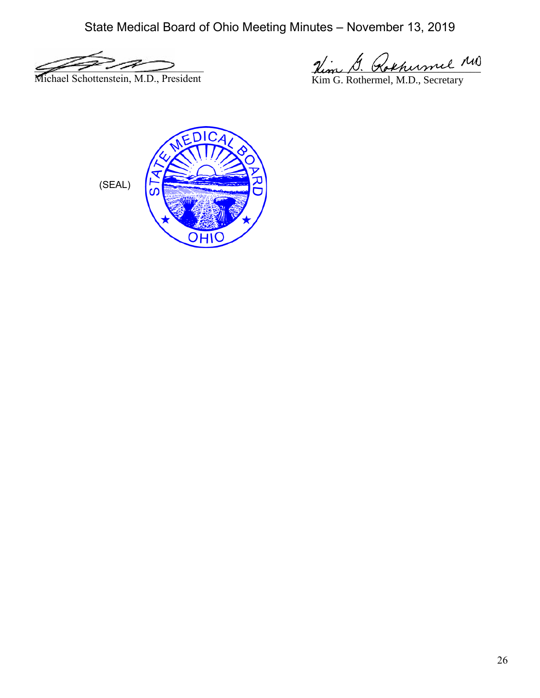$\mathscr{L} \rightarrow \mathscr{L} \rightarrow \mathscr{L} \rightarrow \mathscr{L} \rightarrow \mathscr{L} \rightarrow \mathscr{L} \rightarrow \mathscr{L} \rightarrow \mathscr{L} \rightarrow \mathscr{L} \rightarrow \mathscr{L} \rightarrow \mathscr{L} \rightarrow \mathscr{L} \rightarrow \mathscr{L} \rightarrow \mathscr{L} \rightarrow \mathscr{L} \rightarrow \mathscr{L} \rightarrow \mathscr{L} \rightarrow \mathscr{L} \rightarrow \mathscr{L} \rightarrow \mathscr{L} \rightarrow \mathscr{L} \rightarrow \mathscr{L} \rightarrow \mathscr{L} \rightarrow \mathscr{L} \rightarrow \mathscr{L} \rightarrow \mathscr{L} \rightarrow \mathscr{L} \rightarrow \mathscr{$ Michael Schottenstein, M.D., President

Rem D. Kokhermel

Kim G. Rothermel, M.D., Secretary

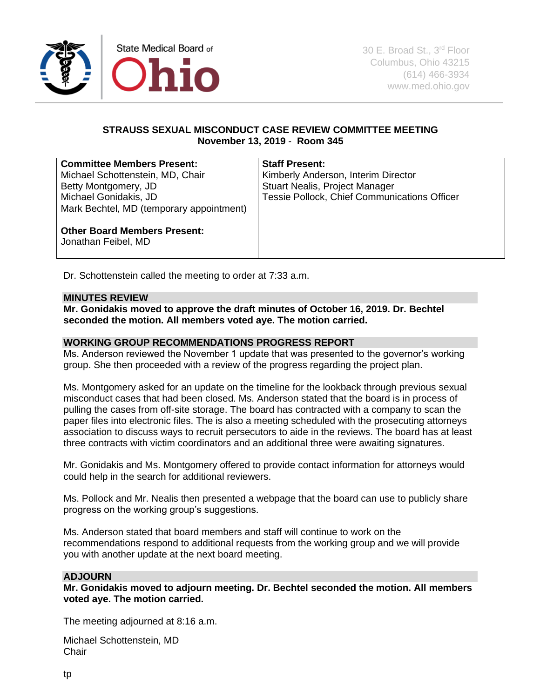

# **STRAUSS SEXUAL MISCONDUCT CASE REVIEW COMMITTEE MEETING November 13, 2019** - **Room 345**

| <b>Committee Members Present:</b>                          | <b>Staff Present:</b>                               |
|------------------------------------------------------------|-----------------------------------------------------|
| Michael Schottenstein, MD, Chair                           | Kimberly Anderson, Interim Director                 |
| Betty Montgomery, JD                                       | Stuart Nealis, Project Manager                      |
| Michael Gonidakis, JD                                      | <b>Tessie Pollock, Chief Communications Officer</b> |
| Mark Bechtel, MD (temporary appointment)                   |                                                     |
| <b>Other Board Members Present:</b><br>Jonathan Feibel, MD |                                                     |

Dr. Schottenstein called the meeting to order at 7:33 a.m.

## **MINUTES REVIEW**

**Mr. Gonidakis moved to approve the draft minutes of October 16, 2019. Dr. Bechtel seconded the motion. All members voted aye. The motion carried.**

## **WORKING GROUP RECOMMENDATIONS PROGRESS REPORT**

Ms. Anderson reviewed the November 1 update that was presented to the governor's working group. She then proceeded with a review of the progress regarding the project plan.

Ms. Montgomery asked for an update on the timeline for the lookback through previous sexual misconduct cases that had been closed. Ms. Anderson stated that the board is in process of pulling the cases from off-site storage. The board has contracted with a company to scan the paper files into electronic files. The is also a meeting scheduled with the prosecuting attorneys association to discuss ways to recruit persecutors to aide in the reviews. The board has at least three contracts with victim coordinators and an additional three were awaiting signatures.

Mr. Gonidakis and Ms. Montgomery offered to provide contact information for attorneys would could help in the search for additional reviewers.

Ms. Pollock and Mr. Nealis then presented a webpage that the board can use to publicly share progress on the working group's suggestions.

Ms. Anderson stated that board members and staff will continue to work on the recommendations respond to additional requests from the working group and we will provide you with another update at the next board meeting.

## **ADJOURN**

**Mr. Gonidakis moved to adjourn meeting. Dr. Bechtel seconded the motion. All members voted aye. The motion carried.**

The meeting adjourned at 8:16 a.m.

Michael Schottenstein, MD **Chair**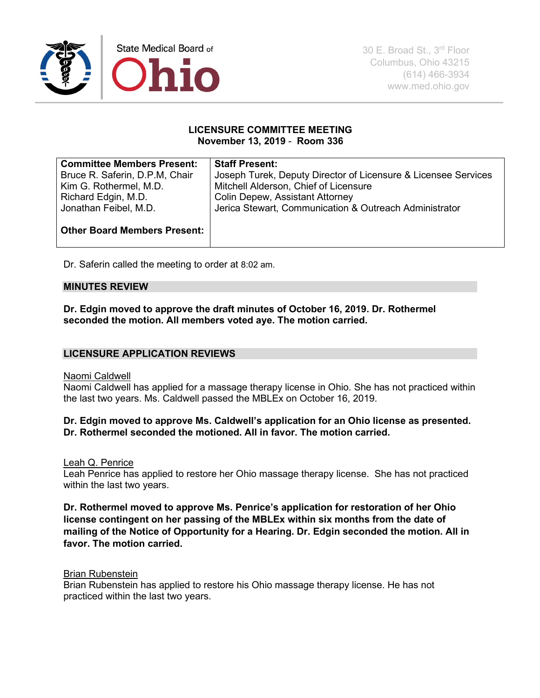

### **LICENSURE COMMITTEE MEETING November 13, 2019** - **Room 336**

| <b>Committee Members Present:</b>   | <b>Staff Present:</b>                                          |
|-------------------------------------|----------------------------------------------------------------|
| Bruce R. Saferin, D.P.M, Chair      | Joseph Turek, Deputy Director of Licensure & Licensee Services |
| Kim G. Rothermel, M.D.              | Mitchell Alderson, Chief of Licensure                          |
| Richard Edgin, M.D.                 | <b>Colin Depew, Assistant Attorney</b>                         |
| Jonathan Feibel, M.D.               | Jerica Stewart, Communication & Outreach Administrator         |
|                                     |                                                                |
| <b>Other Board Members Present:</b> |                                                                |
|                                     |                                                                |

Dr. Saferin called the meeting to order at 8:02 am.

#### **MINUTES REVIEW**

**Dr. Edgin moved to approve the draft minutes of October 16, 2019. Dr. Rothermel seconded the motion. All members voted aye. The motion carried.**

## **LICENSURE APPLICATION REVIEWS**

#### Naomi Caldwell

Naomi Caldwell has applied for a massage therapy license in Ohio. She has not practiced within the last two years. Ms. Caldwell passed the MBLEx on October 16, 2019.

## **Dr. Edgin moved to approve Ms. Caldwell's application for an Ohio license as presented. Dr. Rothermel seconded the motioned. All in favor. The motion carried.**

Leah Q. Penrice

Leah Penrice has applied to restore her Ohio massage therapy license. She has not practiced within the last two years.

**Dr. Rothermel moved to approve Ms. Penrice's application for restoration of her Ohio license contingent on her passing of the MBLEx within six months from the date of mailing of the Notice of Opportunity for a Hearing. Dr. Edgin seconded the motion. All in favor. The motion carried.** 

### Brian Rubenstein

Brian Rubenstein has applied to restore his Ohio massage therapy license. He has not practiced within the last two years.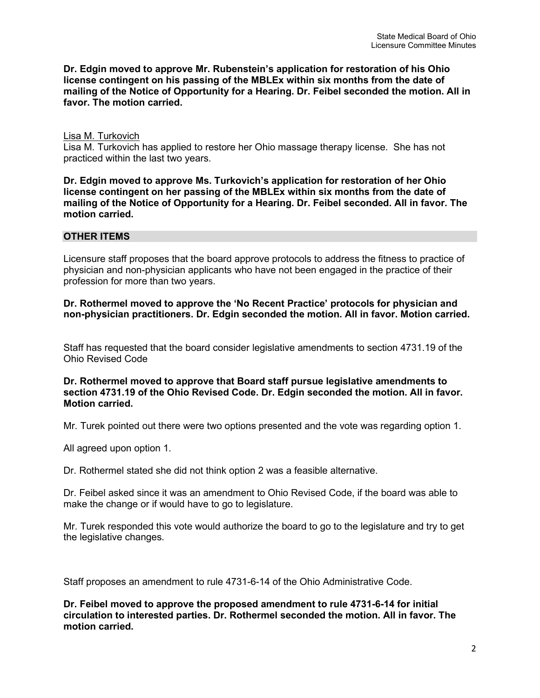**Dr. Edgin moved to approve Mr. Rubenstein's application for restoration of his Ohio license contingent on his passing of the MBLEx within six months from the date of mailing of the Notice of Opportunity for a Hearing. Dr. Feibel seconded the motion. All in favor. The motion carried.**

#### Lisa M. Turkovich

Lisa M. Turkovich has applied to restore her Ohio massage therapy license. She has not practiced within the last two years.

**Dr. Edgin moved to approve Ms. Turkovich's application for restoration of her Ohio license contingent on her passing of the MBLEx within six months from the date of mailing of the Notice of Opportunity for a Hearing. Dr. Feibel seconded. All in favor. The motion carried.**

### **OTHER ITEMS**

Licensure staff proposes that the board approve protocols to address the fitness to practice of physician and non-physician applicants who have not been engaged in the practice of their profession for more than two years.

### **Dr. Rothermel moved to approve the 'No Recent Practice' protocols for physician and non-physician practitioners. Dr. Edgin seconded the motion. All in favor. Motion carried.**

Staff has requested that the board consider legislative amendments to section 4731.19 of the Ohio Revised Code

#### **Dr. Rothermel moved to approve that Board staff pursue legislative amendments to section 4731.19 of the Ohio Revised Code. Dr. Edgin seconded the motion. All in favor. Motion carried.**

Mr. Turek pointed out there were two options presented and the vote was regarding option 1.

All agreed upon option 1.

Dr. Rothermel stated she did not think option 2 was a feasible alternative.

Dr. Feibel asked since it was an amendment to Ohio Revised Code, if the board was able to make the change or if would have to go to legislature.

Mr. Turek responded this vote would authorize the board to go to the legislature and try to get the legislative changes.

Staff proposes an amendment to rule 4731-6-14 of the Ohio Administrative Code.

**Dr. Feibel moved to approve the proposed amendment to rule 4731-6-14 for initial circulation to interested parties. Dr. Rothermel seconded the motion. All in favor. The motion carried.**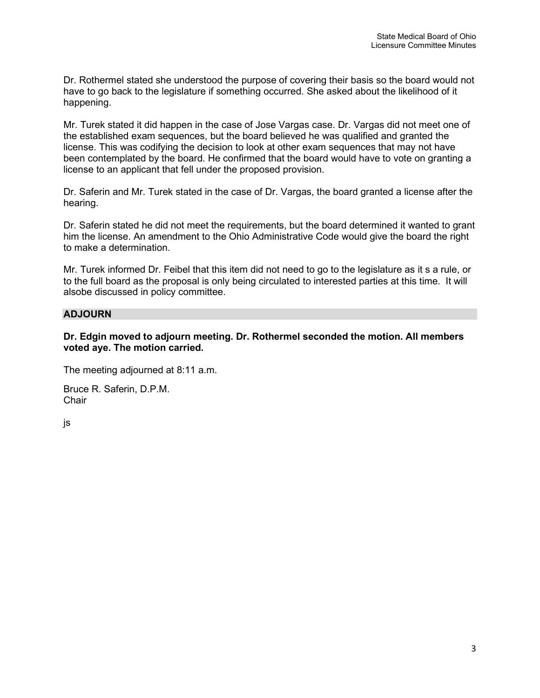Dr. Rothermel stated she understood the purpose of covering their basis so the board would not have to go back to the legislature if something occurred. She asked about the likelihood of it happening.

Mr. Turek stated it did happen in the case of Jose Vargas case. Dr. Vargas did not meet one of the established exam sequences, but the board believed he was qualified and granted the license. This was codifying the decision to look at other exam sequences that may not have been contemplated by the board. He confirmed that the board would have to vote on granting a license to an applicant that fell under the proposed provision.

Dr. Saferin and Mr. Turek stated in the case of Dr. Vargas, the board granted a license after the hearing.

Dr. Saferin stated he did not meet the requirements, but the board determined it wanted to grant him the license. An amendment to the Ohio Administrative Code would give the board the right to make a determination.

Mr. Turek informed Dr. Feibel that this item did not need to go to the legislature as it s a rule, or to the full board as the proposal is only being circulated to interested parties at this time. It will alsobe discussed in policy committee.

## **ADJOURN**

### **Dr. Edgin moved to adjourn meeting. Dr. Rothermel seconded the motion. All members voted aye. The motion carried.**

The meeting adjourned at 8:11 a.m.

Bruce R. Saferin, D.P.M. **Chair** 

js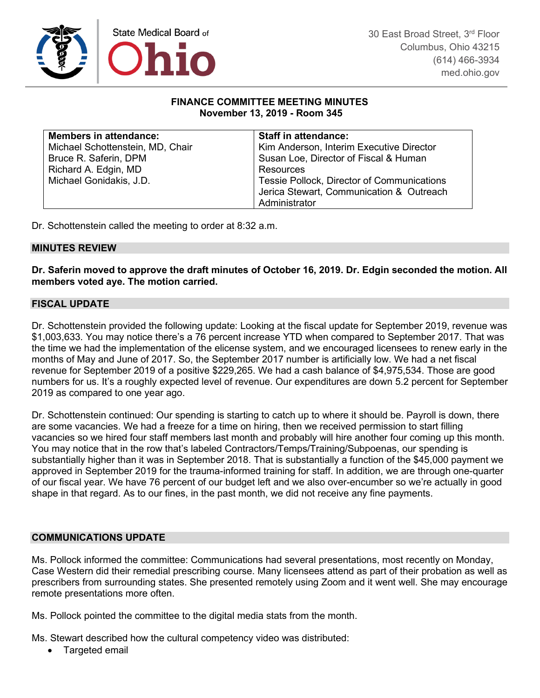

### **FINANCE COMMITTEE MEETING MINUTES November 13, 2019 - Room 345**

| <b>Members in attendance:</b>    | <b>Staff in attendance:</b>                |
|----------------------------------|--------------------------------------------|
| Michael Schottenstein, MD, Chair | Kim Anderson, Interim Executive Director   |
| Bruce R. Saferin, DPM            | Susan Loe, Director of Fiscal & Human      |
| Richard A. Edgin, MD             | Resources                                  |
| Michael Gonidakis, J.D.          | Tessie Pollock, Director of Communications |
|                                  | Jerica Stewart, Communication & Outreach   |
|                                  | Administrator                              |

Dr. Schottenstein called the meeting to order at 8:32 a.m.

### **MINUTES REVIEW**

**Dr. Saferin moved to approve the draft minutes of October 16, 2019. Dr. Edgin seconded the motion. All members voted aye. The motion carried.**

### **FISCAL UPDATE**

Dr. Schottenstein provided the following update: Looking at the fiscal update for September 2019, revenue was \$1,003,633. You may notice there's a 76 percent increase YTD when compared to September 2017. That was the time we had the implementation of the elicense system, and we encouraged licensees to renew early in the months of May and June of 2017. So, the September 2017 number is artificially low. We had a net fiscal revenue for September 2019 of a positive \$229,265. We had a cash balance of \$4,975,534. Those are good numbers for us. It's a roughly expected level of revenue. Our expenditures are down 5.2 percent for September 2019 as compared to one year ago.

Dr. Schottenstein continued: Our spending is starting to catch up to where it should be. Payroll is down, there are some vacancies. We had a freeze for a time on hiring, then we received permission to start filling vacancies so we hired four staff members last month and probably will hire another four coming up this month. You may notice that in the row that's labeled Contractors/Temps/Training/Subpoenas, our spending is substantially higher than it was in September 2018. That is substantially a function of the \$45,000 payment we approved in September 2019 for the trauma-informed training for staff. In addition, we are through one-quarter of our fiscal year. We have 76 percent of our budget left and we also over-encumber so we're actually in good shape in that regard. As to our fines, in the past month, we did not receive any fine payments.

## **COMMUNICATIONS UPDATE**

Ms. Pollock informed the committee: Communications had several presentations, most recently on Monday, Case Western did their remedial prescribing course. Many licensees attend as part of their probation as well as prescribers from surrounding states. She presented remotely using Zoom and it went well. She may encourage remote presentations more often.

Ms. Pollock pointed the committee to the digital media stats from the month.

Ms. Stewart described how the cultural competency video was distributed:

• Targeted email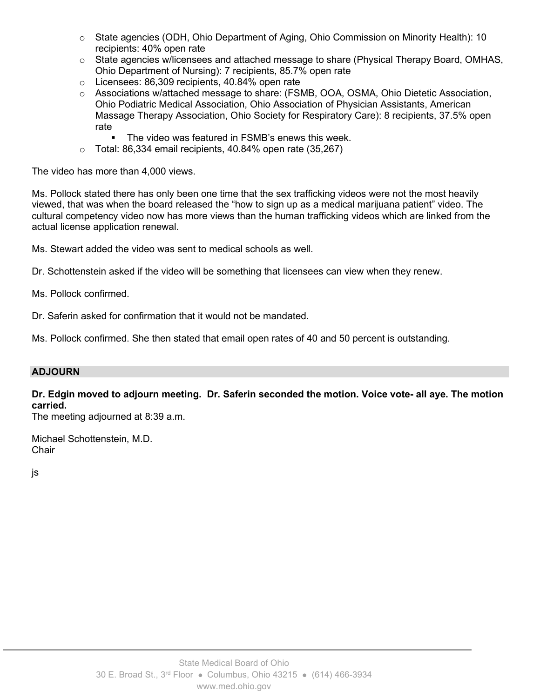- o State agencies (ODH, Ohio Department of Aging, Ohio Commission on Minority Health): 10 recipients: 40% open rate
- $\circ$  State agencies w/licensees and attached message to share (Physical Therapy Board, OMHAS, Ohio Department of Nursing): 7 recipients, 85.7% open rate
- o Licensees: 86,309 recipients, 40.84% open rate
- o Associations w/attached message to share: (FSMB, OOA, OSMA, Ohio Dietetic Association, Ohio Podiatric Medical Association, Ohio Association of Physician Assistants, American Massage Therapy Association, Ohio Society for Respiratory Care): 8 recipients, 37.5% open rate
	- The video was featured in FSMB's enews this week.
- $\circ$  Total: 86,334 email recipients, 40.84% open rate (35,267)

The video has more than 4,000 views.

Ms. Pollock stated there has only been one time that the sex trafficking videos were not the most heavily viewed, that was when the board released the "how to sign up as a medical marijuana patient" video. The cultural competency video now has more views than the human trafficking videos which are linked from the actual license application renewal.

Ms. Stewart added the video was sent to medical schools as well.

Dr. Schottenstein asked if the video will be something that licensees can view when they renew.

Ms. Pollock confirmed.

Dr. Saferin asked for confirmation that it would not be mandated.

Ms. Pollock confirmed. She then stated that email open rates of 40 and 50 percent is outstanding.

## **ADJOURN**

# **Dr. Edgin moved to adjourn meeting. Dr. Saferin seconded the motion. Voice vote- all aye. The motion carried.**

The meeting adjourned at 8:39 a.m.

Michael Schottenstein, M.D. **Chair** 

js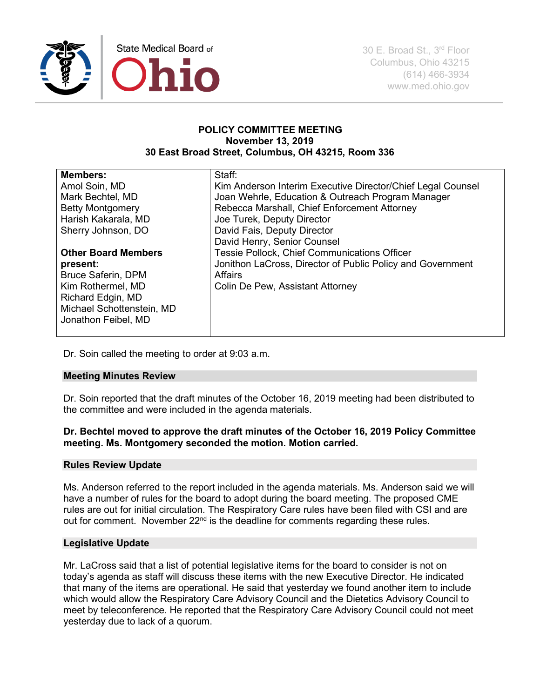

#### **POLICY COMMITTEE MEETING November 13, 2019 30 East Broad Street, Columbus, OH 43215, Room 336**

| <b>Members:</b>            | Staff:                                                      |
|----------------------------|-------------------------------------------------------------|
| Amol Soin, MD              | Kim Anderson Interim Executive Director/Chief Legal Counsel |
| Mark Bechtel, MD           | Joan Wehrle, Education & Outreach Program Manager           |
| <b>Betty Montgomery</b>    | Rebecca Marshall, Chief Enforcement Attorney                |
| Harish Kakarala, MD        | Joe Turek, Deputy Director                                  |
| Sherry Johnson, DO         | David Fais, Deputy Director                                 |
|                            | David Henry, Senior Counsel                                 |
| <b>Other Board Members</b> | <b>Tessie Pollock, Chief Communications Officer</b>         |
| present:                   | Jonithon LaCross, Director of Public Policy and Government  |
| <b>Bruce Saferin, DPM</b>  | Affairs                                                     |
| Kim Rothermel, MD          | Colin De Pew, Assistant Attorney                            |
| Richard Edgin, MD          |                                                             |
| Michael Schottenstein, MD  |                                                             |
| Jonathon Feibel, MD        |                                                             |
|                            |                                                             |

Dr. Soin called the meeting to order at 9:03 a.m.

## **Meeting Minutes Review**

Dr. Soin reported that the draft minutes of the October 16, 2019 meeting had been distributed to the committee and were included in the agenda materials.

## **Dr. Bechtel moved to approve the draft minutes of the October 16, 2019 Policy Committee meeting. Ms. Montgomery seconded the motion. Motion carried.**

## **Rules Review Update**

Ms. Anderson referred to the report included in the agenda materials. Ms. Anderson said we will have a number of rules for the board to adopt during the board meeting. The proposed CME rules are out for initial circulation. The Respiratory Care rules have been filed with CSI and are out for comment. November 22<sup>nd</sup> is the deadline for comments regarding these rules.

## **Legislative Update**

Mr. LaCross said that a list of potential legislative items for the board to consider is not on today's agenda as staff will discuss these items with the new Executive Director. He indicated that many of the items are operational. He said that yesterday we found another item to include which would allow the Respiratory Care Advisory Council and the Dietetics Advisory Council to meet by teleconference. He reported that the Respiratory Care Advisory Council could not meet yesterday due to lack of a quorum.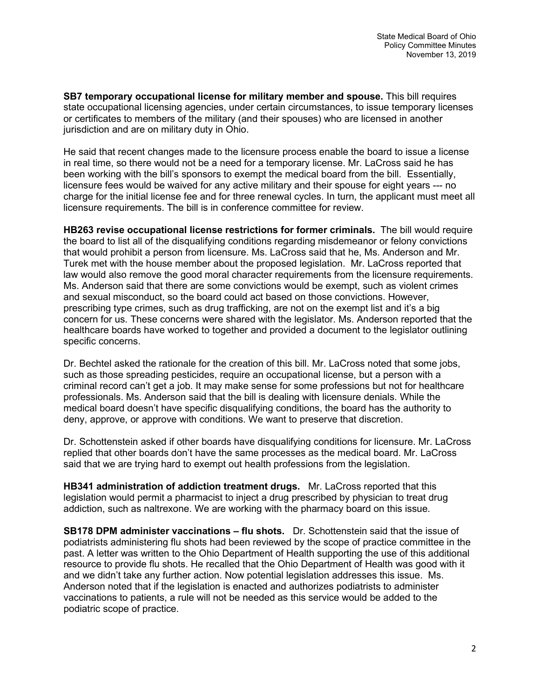**SB7 temporary occupational license for military member and spouse.** This bill requires state occupational licensing agencies, under certain circumstances, to issue temporary licenses or certificates to members of the military (and their spouses) who are licensed in another jurisdiction and are on military duty in Ohio.

He said that recent changes made to the licensure process enable the board to issue a license in real time, so there would not be a need for a temporary license. Mr. LaCross said he has been working with the bill's sponsors to exempt the medical board from the bill. Essentially, licensure fees would be waived for any active military and their spouse for eight years --- no charge for the initial license fee and for three renewal cycles. In turn, the applicant must meet all licensure requirements. The bill is in conference committee for review.

**HB263 revise occupational license restrictions for former criminals.** The bill would require the board to list all of the disqualifying conditions regarding misdemeanor or felony convictions that would prohibit a person from licensure. Ms. LaCross said that he, Ms. Anderson and Mr. Turek met with the house member about the proposed legislation. Mr. LaCross reported that law would also remove the good moral character requirements from the licensure requirements. Ms. Anderson said that there are some convictions would be exempt, such as violent crimes and sexual misconduct, so the board could act based on those convictions. However, prescribing type crimes, such as drug trafficking, are not on the exempt list and it's a big concern for us. These concerns were shared with the legislator. Ms. Anderson reported that the healthcare boards have worked to together and provided a document to the legislator outlining specific concerns.

Dr. Bechtel asked the rationale for the creation of this bill. Mr. LaCross noted that some jobs, such as those spreading pesticides, require an occupational license, but a person with a criminal record can't get a job. It may make sense for some professions but not for healthcare professionals. Ms. Anderson said that the bill is dealing with licensure denials. While the medical board doesn't have specific disqualifying conditions, the board has the authority to deny, approve, or approve with conditions. We want to preserve that discretion.

Dr. Schottenstein asked if other boards have disqualifying conditions for licensure. Mr. LaCross replied that other boards don't have the same processes as the medical board. Mr. LaCross said that we are trying hard to exempt out health professions from the legislation.

**HB341 administration of addiction treatment drugs.** Mr. LaCross reported that this legislation would permit a pharmacist to inject a drug prescribed by physician to treat drug addiction, such as naltrexone. We are working with the pharmacy board on this issue.

**SB178 DPM administer vaccinations – flu shots.** Dr. Schottenstein said that the issue of podiatrists administering flu shots had been reviewed by the scope of practice committee in the past. A letter was written to the Ohio Department of Health supporting the use of this additional resource to provide flu shots. He recalled that the Ohio Department of Health was good with it and we didn't take any further action. Now potential legislation addresses this issue. Ms. Anderson noted that if the legislation is enacted and authorizes podiatrists to administer vaccinations to patients, a rule will not be needed as this service would be added to the podiatric scope of practice.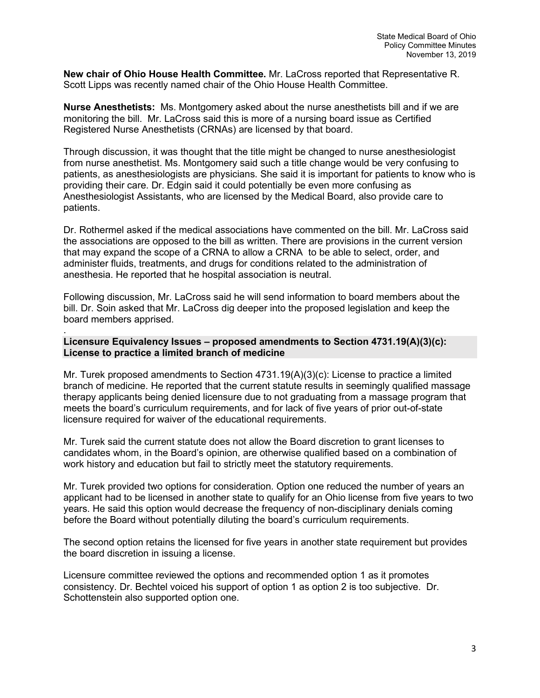**New chair of Ohio House Health Committee.** Mr. LaCross reported that Representative R. Scott Lipps was recently named chair of the Ohio House Health Committee.

**Nurse Anesthetists:** Ms. Montgomery asked about the nurse anesthetists bill and if we are monitoring the bill. Mr. LaCross said this is more of a nursing board issue as Certified Registered Nurse Anesthetists (CRNAs) are licensed by that board.

Through discussion, it was thought that the title might be changed to nurse anesthesiologist from nurse anesthetist. Ms. Montgomery said such a title change would be very confusing to patients, as anesthesiologists are physicians. She said it is important for patients to know who is providing their care. Dr. Edgin said it could potentially be even more confusing as Anesthesiologist Assistants, who are licensed by the Medical Board, also provide care to patients.

Dr. Rothermel asked if the medical associations have commented on the bill. Mr. LaCross said the associations are opposed to the bill as written. There are provisions in the current version that may expand the scope of a CRNA to allow a CRNA to be able to select, order, and administer fluids, treatments, and drugs for conditions related to the administration of anesthesia. He reported that he hospital association is neutral.

Following discussion, Mr. LaCross said he will send information to board members about the bill. Dr. Soin asked that Mr. LaCross dig deeper into the proposed legislation and keep the board members apprised.

#### . **Licensure Equivalency Issues – proposed amendments to Section 4731.19(A)(3)(c): License to practice a limited branch of medicine**

Mr. Turek proposed amendments to Section 4731.19(A)(3)(c): License to practice a limited branch of medicine. He reported that the current statute results in seemingly qualified massage therapy applicants being denied licensure due to not graduating from a massage program that meets the board's curriculum requirements, and for lack of five years of prior out-of-state licensure required for waiver of the educational requirements.

Mr. Turek said the current statute does not allow the Board discretion to grant licenses to candidates whom, in the Board's opinion, are otherwise qualified based on a combination of work history and education but fail to strictly meet the statutory requirements.

Mr. Turek provided two options for consideration. Option one reduced the number of years an applicant had to be licensed in another state to qualify for an Ohio license from five years to two years. He said this option would decrease the frequency of non-disciplinary denials coming before the Board without potentially diluting the board's curriculum requirements.

The second option retains the licensed for five years in another state requirement but provides the board discretion in issuing a license.

Licensure committee reviewed the options and recommended option 1 as it promotes consistency. Dr. Bechtel voiced his support of option 1 as option 2 is too subjective. Dr. Schottenstein also supported option one.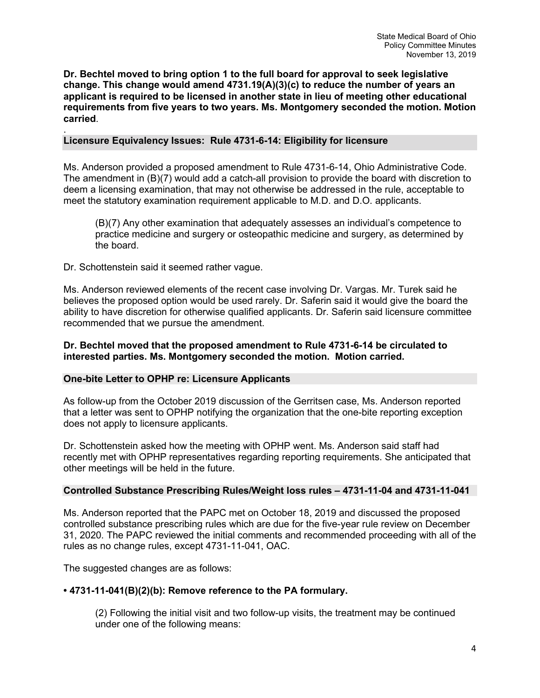**Dr. Bechtel moved to bring option 1 to the full board for approval to seek legislative change. This change would amend 4731.19(A)(3)(c) to reduce the number of years an applicant is required to be licensed in another state in lieu of meeting other educational requirements from five years to two years. Ms. Montgomery seconded the motion. Motion carried**.

#### . **Licensure Equivalency Issues: Rule 4731-6-14: Eligibility for licensure**

Ms. Anderson provided a proposed amendment to Rule 4731-6-14, Ohio Administrative Code. The amendment in (B)(7) would add a catch-all provision to provide the board with discretion to deem a licensing examination, that may not otherwise be addressed in the rule, acceptable to meet the statutory examination requirement applicable to M.D. and D.O. applicants.

(B)(7) Any other examination that adequately assesses an individual's competence to practice medicine and surgery or osteopathic medicine and surgery, as determined by the board.

Dr. Schottenstein said it seemed rather vague.

Ms. Anderson reviewed elements of the recent case involving Dr. Vargas. Mr. Turek said he believes the proposed option would be used rarely. Dr. Saferin said it would give the board the ability to have discretion for otherwise qualified applicants. Dr. Saferin said licensure committee recommended that we pursue the amendment.

**Dr. Bechtel moved that the proposed amendment to Rule 4731-6-14 be circulated to interested parties. Ms. Montgomery seconded the motion. Motion carried.** 

#### **One-bite Letter to OPHP re: Licensure Applicants**

As follow-up from the October 2019 discussion of the Gerritsen case, Ms. Anderson reported that a letter was sent to OPHP notifying the organization that the one-bite reporting exception does not apply to licensure applicants.

Dr. Schottenstein asked how the meeting with OPHP went. Ms. Anderson said staff had recently met with OPHP representatives regarding reporting requirements. She anticipated that other meetings will be held in the future.

#### **Controlled Substance Prescribing Rules/Weight loss rules – 4731-11-04 and 4731-11-041**

Ms. Anderson reported that the PAPC met on October 18, 2019 and discussed the proposed controlled substance prescribing rules which are due for the five-year rule review on December 31, 2020. The PAPC reviewed the initial comments and recommended proceeding with all of the rules as no change rules, except 4731-11-041, OAC.

The suggested changes are as follows:

## **• 4731-11-041(B)(2)(b): Remove reference to the PA formulary.**

(2) Following the initial visit and two follow-up visits, the treatment may be continued under one of the following means: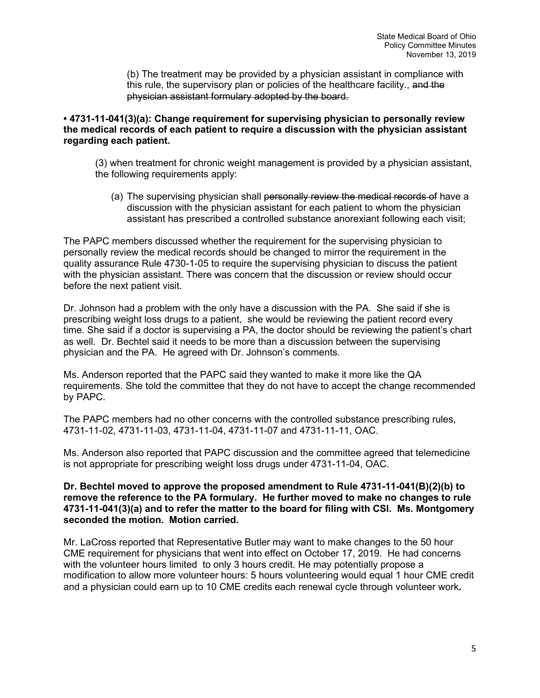(b) The treatment may be provided by a physician assistant in compliance with this rule, the supervisory plan or policies of the healthcare facility., and the physician assistant formulary adopted by the board.

### **• 4731-11-041(3)(a): Change requirement for supervising physician to personally review the medical records of each patient to require a discussion with the physician assistant regarding each patient.**

(3) when treatment for chronic weight management is provided by a physician assistant, the following requirements apply:

(a) The supervising physician shall personally review the medical records of have a discussion with the physician assistant for each patient to whom the physician assistant has prescribed a controlled substance anorexiant following each visit;

The PAPC members discussed whether the requirement for the supervising physician to personally review the medical records should be changed to mirror the requirement in the quality assurance Rule 4730-1-05 to require the supervising physician to discuss the patient with the physician assistant. There was concern that the discussion or review should occur before the next patient visit.

Dr. Johnson had a problem with the only have a discussion with the PA. She said if she is prescribing weight loss drugs to a patient, she would be reviewing the patient record every time. She said if a doctor is supervising a PA, the doctor should be reviewing the patient's chart as well. Dr. Bechtel said it needs to be more than a discussion between the supervising physician and the PA. He agreed with Dr. Johnson's comments.

Ms. Anderson reported that the PAPC said they wanted to make it more like the QA requirements. She told the committee that they do not have to accept the change recommended by PAPC.

The PAPC members had no other concerns with the controlled substance prescribing rules, 4731-11-02, 4731-11-03, 4731-11-04, 4731-11-07 and 4731-11-11, OAC.

Ms. Anderson also reported that PAPC discussion and the committee agreed that telemedicine is not appropriate for prescribing weight loss drugs under 4731-11-04, OAC.

#### **Dr. Bechtel moved to approve the proposed amendment to Rule 4731-11-041(B)(2)(b) to remove the reference to the PA formulary. He further moved to make no changes to rule 4731-11-041(3)(a) and to refer the matter to the board for filing with CSI. Ms. Montgomery seconded the motion. Motion carried.**

Mr. LaCross reported that Representative Butler may want to make changes to the 50 hour CME requirement for physicians that went into effect on October 17, 2019. He had concerns with the volunteer hours limited to only 3 hours credit. He may potentially propose a modification to allow more volunteer hours: 5 hours volunteering would equal 1 hour CME credit and a physician could earn up to 10 CME credits each renewal cycle through volunteer work**.**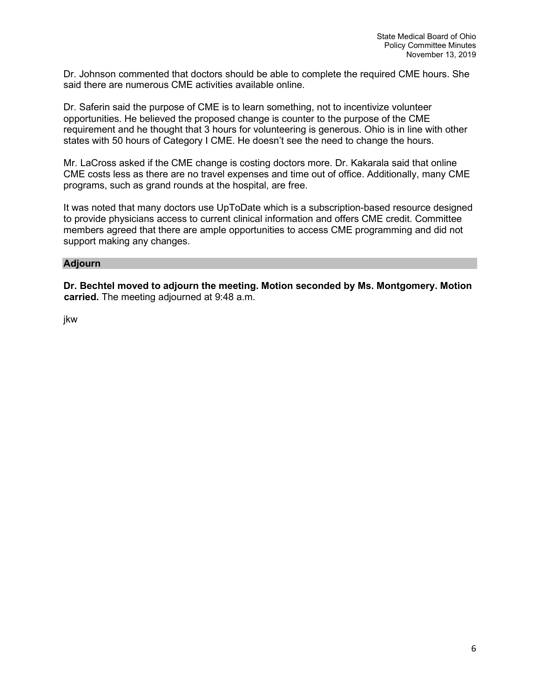Dr. Johnson commented that doctors should be able to complete the required CME hours. She said there are numerous CME activities available online.

Dr. Saferin said the purpose of CME is to learn something, not to incentivize volunteer opportunities. He believed the proposed change is counter to the purpose of the CME requirement and he thought that 3 hours for volunteering is generous. Ohio is in line with other states with 50 hours of Category I CME. He doesn't see the need to change the hours.

Mr. LaCross asked if the CME change is costing doctors more. Dr. Kakarala said that online CME costs less as there are no travel expenses and time out of office. Additionally, many CME programs, such as grand rounds at the hospital, are free.

It was noted that many doctors use UpToDate which is a subscription-based resource designed to provide physicians access to current clinical information and offers CME credit. Committee members agreed that there are ample opportunities to access CME programming and did not support making any changes.

#### **Adjourn**

**Dr. Bechtel moved to adjourn the meeting. Motion seconded by Ms. Montgomery. Motion carried.** The meeting adjourned at 9:48 a.m.

jkw